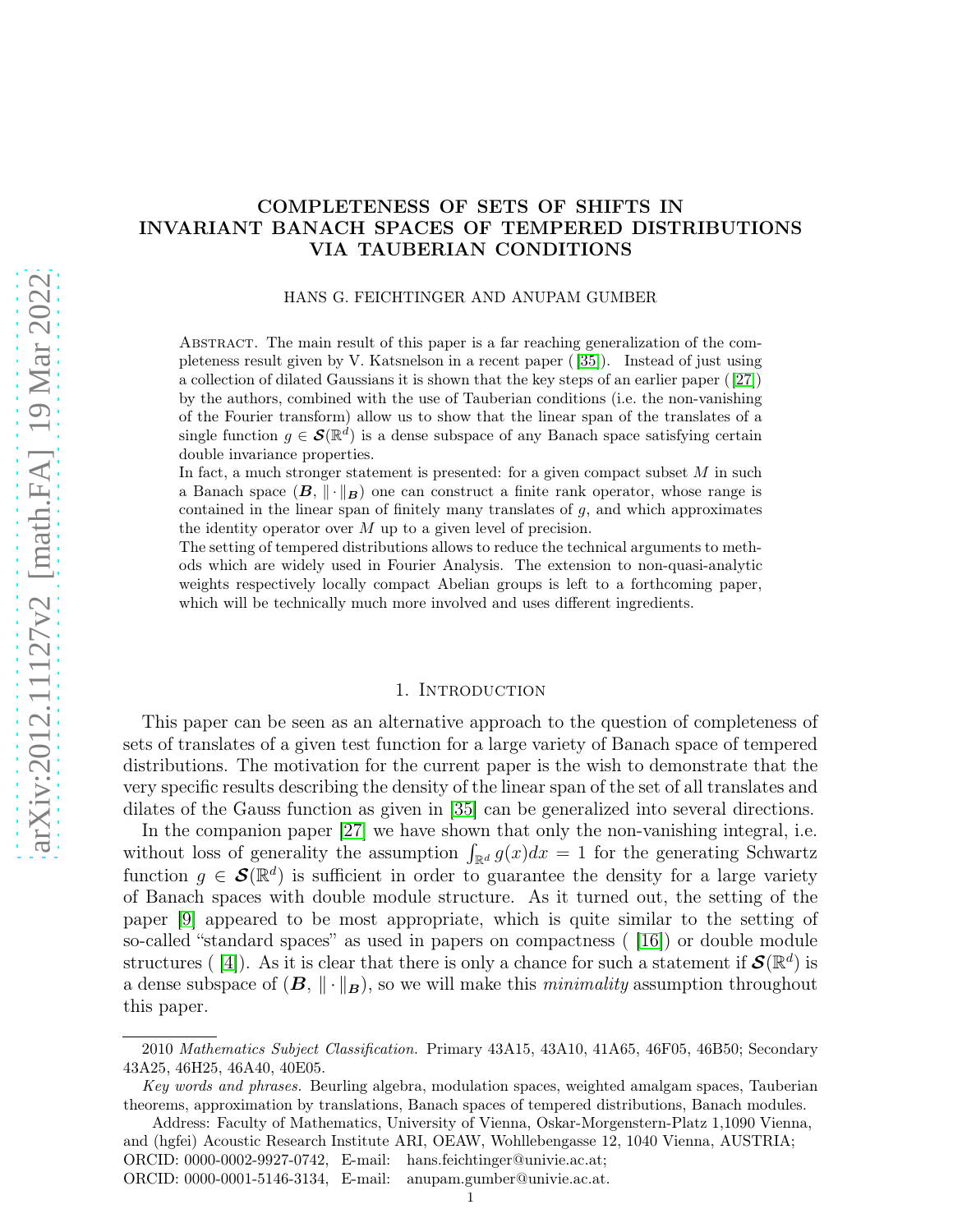# COMPLETENESS OF SETS OF SHIFTS IN INVARIANT BANACH SPACES OF TEMPERED DISTRIBUTIONS VIA TAUBERIAN CONDITIONS

#### HANS G. FEICHTINGER AND ANUPAM GUMBER

Abstract. The main result of this paper is a far reaching generalization of the completeness result given by V. Katsnelson in a recent paper ( [\[35\]](#page-14-0)). Instead of just using a collection of dilated Gaussians it is shown that the key steps of an earlier paper ([\[27\]](#page-13-0)) by the authors, combined with the use of Tauberian conditions (i.e. the non-vanishing of the Fourier transform) allow us to show that the linear span of the translates of a single function  $g \in \mathcal{S}(\mathbb{R}^d)$  is a dense subspace of any Banach space satisfying certain double invariance properties.

In fact, a much stronger statement is presented: for a given compact subset  $M$  in such a Banach space  $(B, \|\cdot\|_B)$  one can construct a finite rank operator, whose range is contained in the linear span of finitely many translates of g, and which approximates the identity operator over  $M$  up to a given level of precision.

The setting of tempered distributions allows to reduce the technical arguments to methods which are widely used in Fourier Analysis. The extension to non-quasi-analytic weights respectively locally compact Abelian groups is left to a forthcoming paper, which will be technically much more involved and uses different ingredients.

#### 1. INTRODUCTION

This paper can be seen as an alternative approach to the question of completeness of sets of translates of a given test function for a large variety of Banach space of tempered distributions. The motivation for the current paper is the wish to demonstrate that the very specific results describing the density of the linear span of the set of all translates and dilates of the Gauss function as given in [\[35\]](#page-14-0) can be generalized into several directions.

In the companion paper [\[27\]](#page-13-0) we have shown that only the non-vanishing integral, i.e. without loss of generality the assumption  $\int_{\mathbb{R}^d} g(x)dx = 1$  for the generating Schwartz function  $g \in \mathcal{S}(\mathbb{R}^d)$  is sufficient in order to guarantee the density for a large variety of Banach spaces with double module structure. As it turned out, the setting of the paper [\[9\]](#page-13-1) appeared to be most appropriate, which is quite similar to the setting of so-called "standard spaces" as used in papers on compactness ( [\[16\]](#page-13-2)) or double module structures ([4]). As it is clear that there is only a chance for such a statement if  $\mathcal{S}(\mathbb{R}^d)$  is a dense subspace of  $(B, \|\cdot\|_B)$ , so we will make this *minimality* assumption throughout this paper.

<sup>2010</sup> Mathematics Subject Classification. Primary 43A15, 43A10, 41A65, 46F05, 46B50; Secondary 43A25, 46H25, 46A40, 40E05.

Key words and phrases. Beurling algebra, modulation spaces, weighted amalgam spaces, Tauberian theorems, approximation by translations, Banach spaces of tempered distributions, Banach modules.

Address: Faculty of Mathematics, University of Vienna, Oskar-Morgenstern-Platz 1,1090 Vienna, and (hgfei) Acoustic Research Institute ARI, OEAW, Wohllebengasse 12, 1040 Vienna, AUSTRIA; ORCID: 0000-0002-9927-0742, E-mail: hans.feichtinger@univie.ac.at;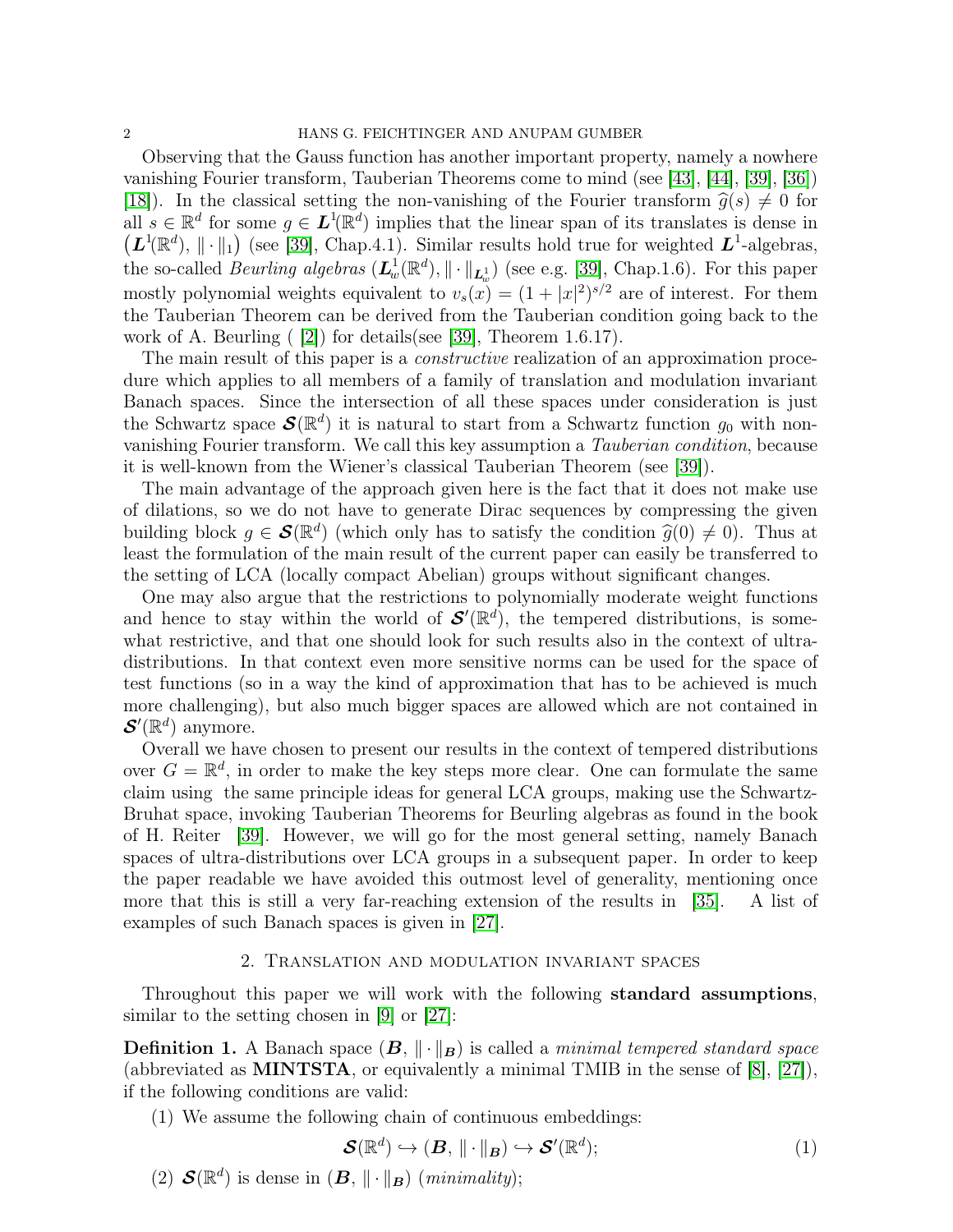Observing that the Gauss function has another important property, namely a nowhere vanishing Fourier transform, Tauberian Theorems come to mind (see [\[43\]](#page-14-1), [\[44\]](#page-14-2), [\[39\]](#page-14-3), [\[36\]](#page-14-4)) [\[18\]](#page-13-3)). In the classical setting the non-vanishing of the Fourier transform  $\hat{g}(s) \neq 0$  for all  $s \in \mathbb{R}^d$  for some  $g \in L^1(\mathbb{R}^d)$  implies that the linear span of its translates is dense in  $(L^1(\mathbb{R}^d), \|\cdot\|_1)$  (see [\[39\]](#page-14-3), Chap.4.1). Similar results hold true for weighted  $L^1$ -algebras, the so-called *Beurling algebras*  $(L_w^1(\mathbb{R}^d), \|\cdot\|_{L_w^1})$  (see e.g. [\[39\]](#page-14-3), Chap.1.6). For this paper mostly polynomial weights equivalent to  $v_s(x) = (1 + |x|^2)^{s/2}$  are of interest. For them the Tauberian Theorem can be derived from the Tauberian condition going back to the work of A. Beurling ( [\[2\]](#page-12-1)) for details(see [\[39\]](#page-14-3), Theorem 1.6.17).

The main result of this paper is a *constructive* realization of an approximation procedure which applies to all members of a family of translation and modulation invariant Banach spaces. Since the intersection of all these spaces under consideration is just the Schwartz space  $\mathcal{S}(\mathbb{R}^d)$  it is natural to start from a Schwartz function  $g_0$  with nonvanishing Fourier transform. We call this key assumption a *Tauberian condition*, because it is well-known from the Wiener's classical Tauberian Theorem (see [\[39\]](#page-14-3)).

The main advantage of the approach given here is the fact that it does not make use of dilations, so we do not have to generate Dirac sequences by compressing the given building block  $g \in \mathcal{S}(\mathbb{R}^d)$  (which only has to satisfy the condition  $\hat{g}(0) \neq 0$ ). Thus at least the formulation of the main result of the current paper can easily be transferred to the setting of LCA (locally compact Abelian) groups without significant changes.

One may also argue that the restrictions to polynomially moderate weight functions and hence to stay within the world of  $\mathcal{S}'(\mathbb{R}^d)$ , the tempered distributions, is somewhat restrictive, and that one should look for such results also in the context of ultradistributions. In that context even more sensitive norms can be used for the space of test functions (so in a way the kind of approximation that has to be achieved is much more challenging), but also much bigger spaces are allowed which are not contained in  $\mathcal{S}'(\mathbb{R}^d)$  anymore.

Overall we have chosen to present our results in the context of tempered distributions over  $G = \mathbb{R}^d$ , in order to make the key steps more clear. One can formulate the same claim using the same principle ideas for general LCA groups, making use the Schwartz-Bruhat space, invoking Tauberian Theorems for Beurling algebras as found in the book of H. Reiter [\[39\]](#page-14-3). However, we will go for the most general setting, namely Banach spaces of ultra-distributions over LCA groups in a subsequent paper. In order to keep the paper readable we have avoided this outmost level of generality, mentioning once more that this is still a very far-reaching extension of the results in [\[35\]](#page-14-0). A list of examples of such Banach spaces is given in [\[27\]](#page-13-0).

## 2. Translation and modulation invariant spaces

Throughout this paper we will work with the following standard assumptions, similar to the setting chosen in [\[9\]](#page-13-1) or [\[27\]](#page-13-0):

**Definition 1.** A Banach space  $(B, \|\cdot\|_B)$  is called a *minimal tempered standard space* (abbreviated as MINTSTA, or equivalently a minimal TMIB in the sense of [\[8\]](#page-13-4), [\[27\]](#page-13-0)), if the following conditions are valid:

(1) We assume the following chain of continuous embeddings:

$$
\mathcal{S}(\mathbb{R}^d) \hookrightarrow (\mathbf{B}, \|\cdot\|_{\mathbf{B}}) \hookrightarrow \mathcal{S}'(\mathbb{R}^d); \tag{1}
$$

(2)  $\mathcal{S}(\mathbb{R}^d)$  is dense in  $(\mathbf{B}, \|\cdot\|_{\mathbf{B}})$  (*minimality*);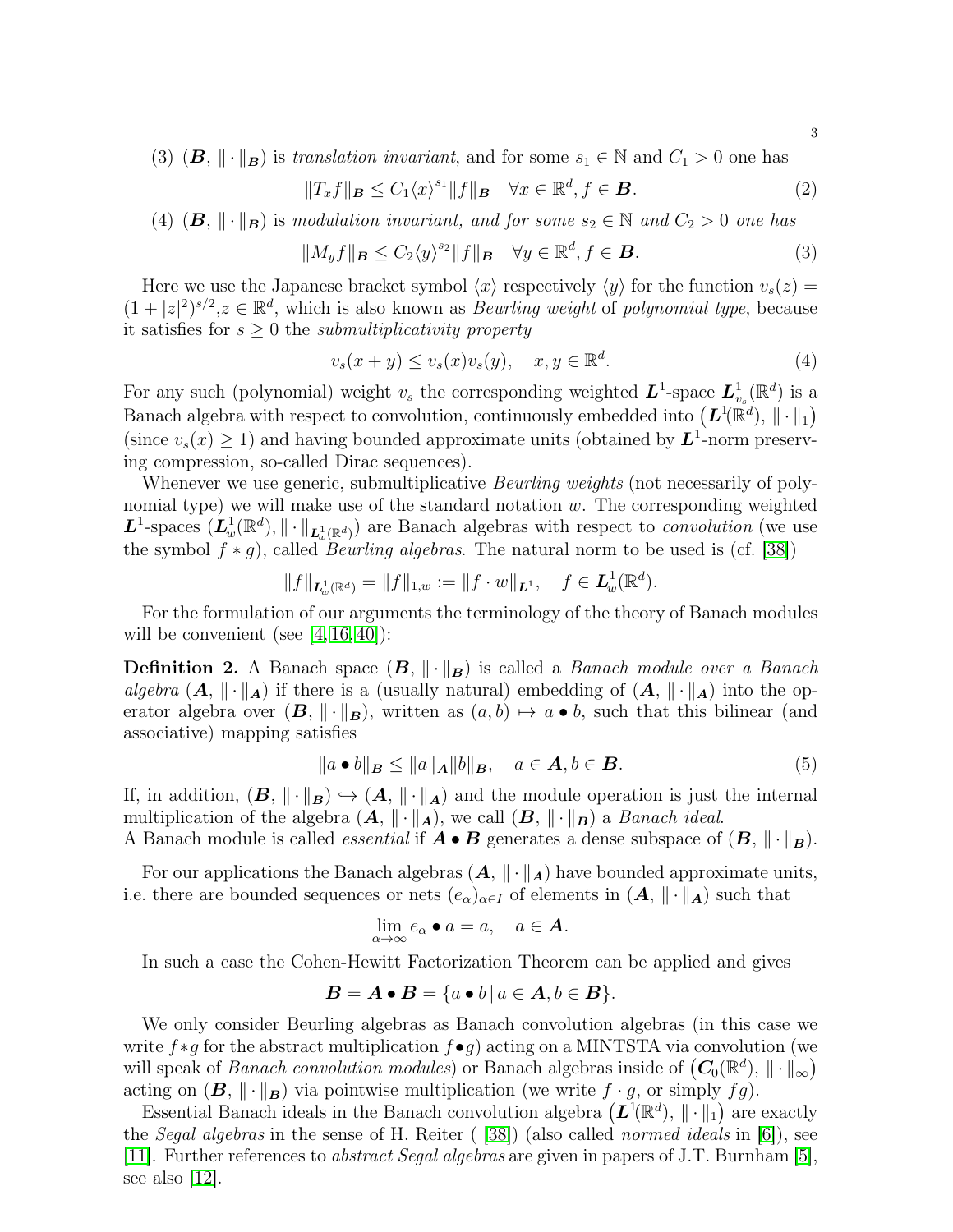(3)  $(B, \|\cdot\|_B)$  is *translation invariant*, and for some  $s_1 \in \mathbb{N}$  and  $C_1 > 0$  one has

<span id="page-2-0"></span>
$$
||T_x f||_{\mathbf{B}} \le C_1 \langle x \rangle^{s_1} ||f||_{\mathbf{B}} \quad \forall x \in \mathbb{R}^d, f \in \mathbf{B}.
$$
 (2)

(4)  $(B, \|\cdot\|_B)$  is *modulation invariant, and for some*  $s_2 \in \mathbb{N}$  *and*  $C_2 > 0$  *one* has

<span id="page-2-1"></span>
$$
||M_y f||_{\mathbf{B}} \le C_2 \langle y \rangle^{s_2} ||f||_{\mathbf{B}} \quad \forall y \in \mathbb{R}^d, f \in \mathbf{B}.
$$
 (3)

Here we use the Japanese bracket symbol  $\langle x \rangle$  respectively  $\langle y \rangle$  for the function  $v_s(z) =$  $(1+|z|^2)^{s/2}, z \in \mathbb{R}^d$ , which is also known as *Beurling weight* of *polynomial type*, because it satisfies for  $s \geq 0$  the *submultiplicativity property* 

$$
v_s(x+y) \le v_s(x)v_s(y), \quad x, y \in \mathbb{R}^d. \tag{4}
$$

For any such (polynomial) weight  $v_s$  the corresponding weighted  $\boldsymbol{L}^1$ -space  $\boldsymbol{L}_v^1$  $^1_{v_s}(\mathbb{R}^d)$  is a Banach algebra with respect to convolution, continuously embedded into  $(L^1(\mathbb{R}^d), \|\cdot\|_1)$ (since  $v_s(x) \ge 1$ ) and having bounded approximate units (obtained by  $L^1$ -norm preserving compression, so-called Dirac sequences).

Whenever we use generic, submultiplicative *Beurling weights* (not necessarily of polynomial type) we will make use of the standard notation  $w$ . The corresponding weighted  $L^1$ -spaces  $(L^1_w(\mathbb{R}^d), \|\cdot\|_{L^1_w(\mathbb{R}^d)})$  are Banach algebras with respect to *convolution* (we use the symbol  $f * g$ , called *Beurling algebras*. The natural norm to be used is (cf. [\[38\]](#page-14-5))

$$
||f||_{\mathbf{L}^1_w(\mathbb{R}^d)} = ||f||_{1,w} := ||f \cdot w||_{\mathbf{L}^1}, \quad f \in \mathbf{L}^1_w(\mathbb{R}^d).
$$

For the formulation of our arguments the terminology of the theory of Banach modules will be convenient (see  $[4, 16, 40]$  $[4, 16, 40]$  $[4, 16, 40]$ ):

**Definition 2.** A Banach space  $(B, \|\cdot\|_B)$  is called a *Banach module over a Banach algebra*  $(A, \|\cdot\|_A)$  if there is a (usually natural) embedding of  $(A, \|\cdot\|_A)$  into the operator algebra over  $(B, \|\cdot\|_B)$ , written as  $(a, b) \mapsto a \bullet b$ , such that this bilinear (and associative) mapping satisfies

$$
||a \bullet b||_{\mathbf{B}} \le ||a||_{\mathbf{A}} ||b||_{\mathbf{B}}, \quad a \in \mathbf{A}, b \in \mathbf{B}.
$$
 (5)

If, in addition,  $(B, \|\cdot\|_B) \hookrightarrow (A, \|\cdot\|_A)$  and the module operation is just the internal multiplication of the algebra  $(A, \|\cdot\|_A)$ , we call  $(B, \|\cdot\|_B)$  a *Banach ideal*.

A Banach module is called *essential* if  $\mathbf{A} \bullet \mathbf{B}$  generates a dense subspace of  $(\mathbf{B}, \|\cdot\|_{\mathbf{B}})$ .

For our applications the Banach algebras  $(A, \|\cdot\|_A)$  have bounded approximate units, i.e. there are bounded sequences or nets  $(e_{\alpha})_{\alpha\in I}$  of elements in  $(A, \|\cdot\|_A)$  such that

$$
\lim_{\alpha \to \infty} e_{\alpha} \bullet a = a, \quad a \in \mathbf{A}.
$$

In such a case the Cohen-Hewitt Factorization Theorem can be applied and gives

$$
B = A \bullet B = \{a \bullet b \mid a \in A, b \in B\}.
$$

We only consider Beurling algebras as Banach convolution algebras (in this case we write  $f * g$  for the abstract multiplication  $f \bullet g$ ) acting on a MINTSTA via convolution (we will speak of *Banach convolution modules*) or Banach algebras inside of  $(C_0(\mathbb{R}^d), \|\cdot\|_{\infty})$ acting on  $(B, \|\cdot\|_B)$  via pointwise multiplication (we write  $f \cdot g$ , or simply  $fg$ ).

Essential Banach ideals in the Banach convolution algebra  $(L^{1}(\mathbb{R}^{d}), \|\cdot\|_{1})$  are exactly the *Segal algebras* in the sense of H. Reiter ( [\[38\]](#page-14-5)) (also called *normed ideals* in [\[6\]](#page-13-5)), see [\[11\]](#page-13-6). Further references to *abstract Segal algebras* are given in papers of J.T. Burnham [\[5\]](#page-13-7), see also [\[12\]](#page-13-8).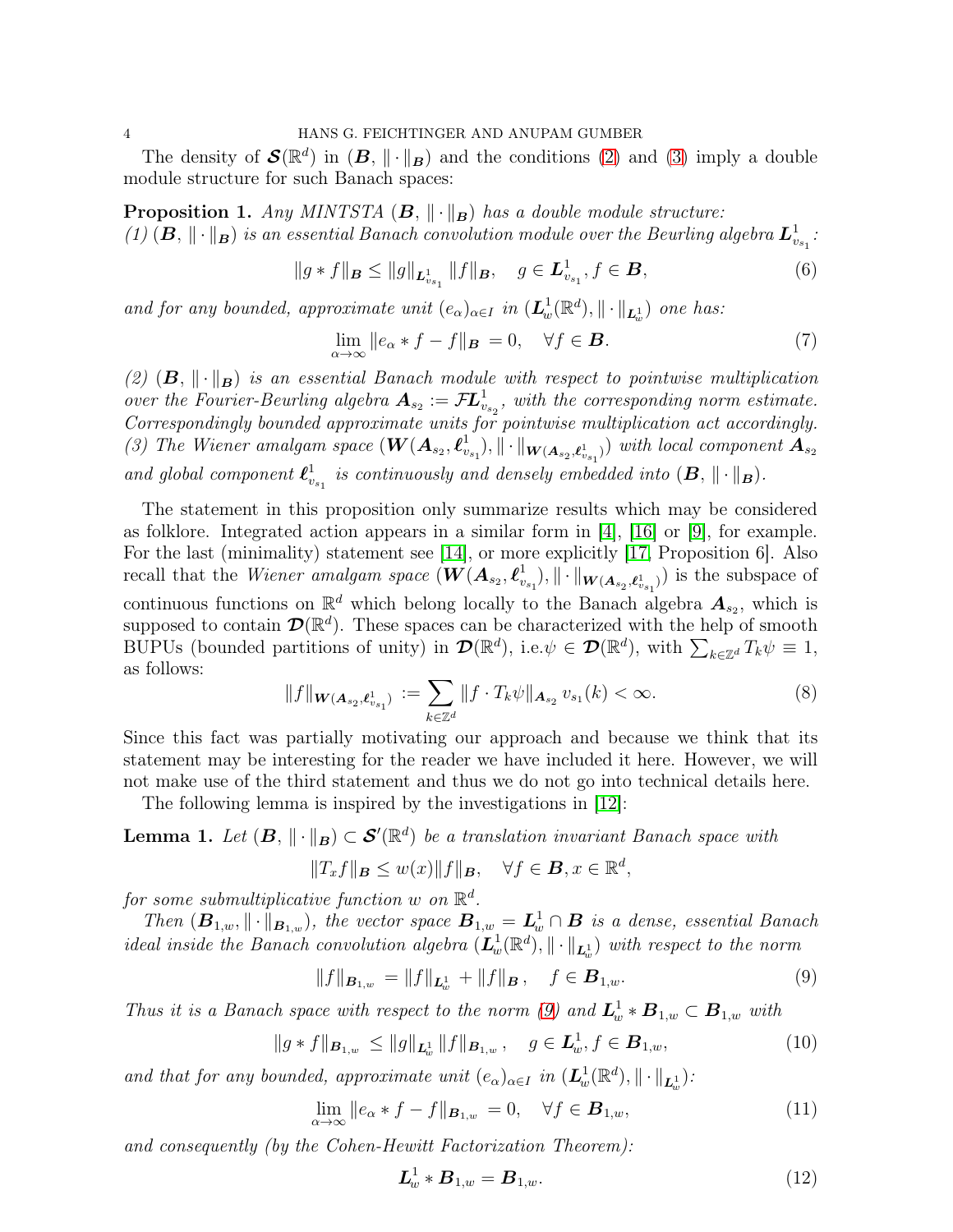The density of  $\mathcal{S}(\mathbb{R}^d)$  in  $(B, \|\cdot\|_B)$  and the conditions [\(2\)](#page-2-0) and [\(3\)](#page-2-1) imply a double module structure for such Banach spaces:

<span id="page-3-1"></span>**Proposition 1.** *Any MINTSTA*  $(B, \|\cdot\|_B)$  *has a double module structure: (1)*  $(B, \|\cdot\|_B)$  *is an essential Banach convolution module over the Beurling algebra*  $L^1_{v_{s_1}}$ :

$$
||g*f||_{\mathbf{B}} \le ||g||_{\mathbf{L}^{1}_{v_{s_1}}} ||f||_{\mathbf{B}}, \quad g \in \mathbf{L}^{1}_{v_{s_1}}, f \in \mathbf{B},
$$
\n(6)

*and for any bounded, approximate unit*  $(e_{\alpha})_{\alpha \in I}$  *in*  $(L_w^1(\mathbb{R}^d), \|\cdot\|_{L_w^1})$  *one has:* 

$$
\lim_{\alpha \to \infty} ||e_{\alpha} * f - f||_{\mathbf{B}} = 0, \quad \forall f \in \mathbf{B}.
$$
\n(7)

(2)  $(B, \|\cdot\|_B)$  *is an essential Banach module with respect to pointwise multiplication over the Fourier-Beurling algebra*  $A_{s_2} := \mathcal{F}L^1_{v_{s_2}}$ , with the corresponding norm estimate. *Correspondingly bounded approximate units for pointwise multiplication act accordingly.* (3) The Wiener amalgam space  $(\mathbf{W}(\mathbf{A}_{s_2}, \boldsymbol{\ell}_{v_1}^1))$  $\mathbb{E}[\mathbf{w}_{[k_{s_1},k_{s_2},k_{s_3}]}^{(1)}]$  with local component  $\mathbf{A}_{s_2}$ *and global component*  $\boldsymbol{\ell}_v^1$  $\frac{1}{v_{s_1}}$  is continuously and densely embedded into  $(\mathbf{B}, \| \cdot \|_{\mathbf{B}}).$ 

The statement in this proposition only summarize results which may be considered as folklore. Integrated action appears in a similar form in [\[4\]](#page-12-0), [\[16\]](#page-13-2) or [\[9\]](#page-13-1), for example. For the last (minimality) statement see [\[14\]](#page-13-9), or more explicitly [\[17,](#page-13-10) Proposition 6]. Also recall that the *Wiener amalgam space*  $(\boldsymbol{W}(\boldsymbol{A}_{s_2}, \boldsymbol{\ell}_{v_2}^{1}))$  $\vert v_{s_1}\rangle,\Vert\cdot\Vert_{\bm{W}(\bm{A}_{s_2},\bm{\ell}_{v_{s_1}}^1)})$  is the subspace of continuous functions on  $\mathbb{R}^d$  which belong locally to the Banach algebra  $A_{s_2}$ , which is supposed to contain  $\mathcal{D}(\mathbb{R}^d)$ . These spaces can be characterized with the help of smooth BUPUs (bounded partitions of unity) in  $\mathcal{D}(\mathbb{R}^d)$ , i.e. $\psi \in \mathcal{D}(\mathbb{R}^d)$ , with  $\sum_{k \in \mathbb{Z}^d} T_k \psi \equiv 1$ , as follows:

$$
||f||_{\mathbf{W}(\mathbf{A}_{s_2}, \ell_{v_{s_1}}^1)} := \sum_{k \in \mathbb{Z}^d} ||f \cdot T_k \psi||_{\mathbf{A}_{s_2}} v_{s_1}(k) < \infty.
$$
 (8)

Since this fact was partially motivating our approach and because we think that its statement may be interesting for the reader we have included it here. However, we will not make use of the third statement and thus we do not go into technical details here.

The following lemma is inspired by the investigations in [\[12\]](#page-13-8):

<span id="page-3-3"></span>**Lemma 1.** Let  $(B, \|\cdot\|_B) \subset \mathcal{S}'(\mathbb{R}^d)$  be a translation invariant Banach space with

$$
||T_xf||_B \le w(x)||f||_B, \quad \forall f \in \mathbf{B}, x \in \mathbb{R}^d,
$$

 $for some~submultiplicative~function~w~on~\mathbb{R}^d$ .

*Then*  $(B_{1,w},\|\cdot\|_{B_{1,w}})$ , the vector space  $B_{1,w} = L^1_w \cap B$  is a dense, essential Banach *ideal inside the Banach convolution algebra*  $(\mathbf{L}_w^1(\mathbb{R}^d), \| \cdot \|_{\mathbf{L}_w^1})$  *with respect to the norm* 

<span id="page-3-0"></span>
$$
||f||_{\mathbf{B}_{1,w}} = ||f||_{\mathbf{L}_{w}^{1}} + ||f||_{\mathbf{B}}, \quad f \in \mathbf{B}_{1,w}.
$$
 (9)

*Thus it is a Banach space with respect to the norm* [\(9\)](#page-3-0) and  $L_w^1 * B_{1,w} \subset B_{1,w}$  *with* 

$$
||g * f||_{\mathbf{B}_{1,w}} \le ||g||_{\mathbf{L}_{w}^{1}} ||f||_{\mathbf{B}_{1,w}}, \quad g \in \mathbf{L}_{w}^{1}, f \in \mathbf{B}_{1,w}, \tag{10}
$$

*and that for any bounded, approximate unit*  $(e_{\alpha})_{\alpha \in I}$  *in*  $(L_w^1(\mathbb{R}^d), \|\cdot\|_{L_w^1})$ :

<span id="page-3-2"></span>
$$
\lim_{\alpha \to \infty} ||e_{\alpha} * f - f||_{\mathcal{B}_{1,w}} = 0, \quad \forall f \in \mathcal{B}_{1,w}, \tag{11}
$$

*and consequently (by the Cohen-Hewitt Factorization Theorem):*

$$
L_w^1 * B_{1,w} = B_{1,w}.
$$
 (12)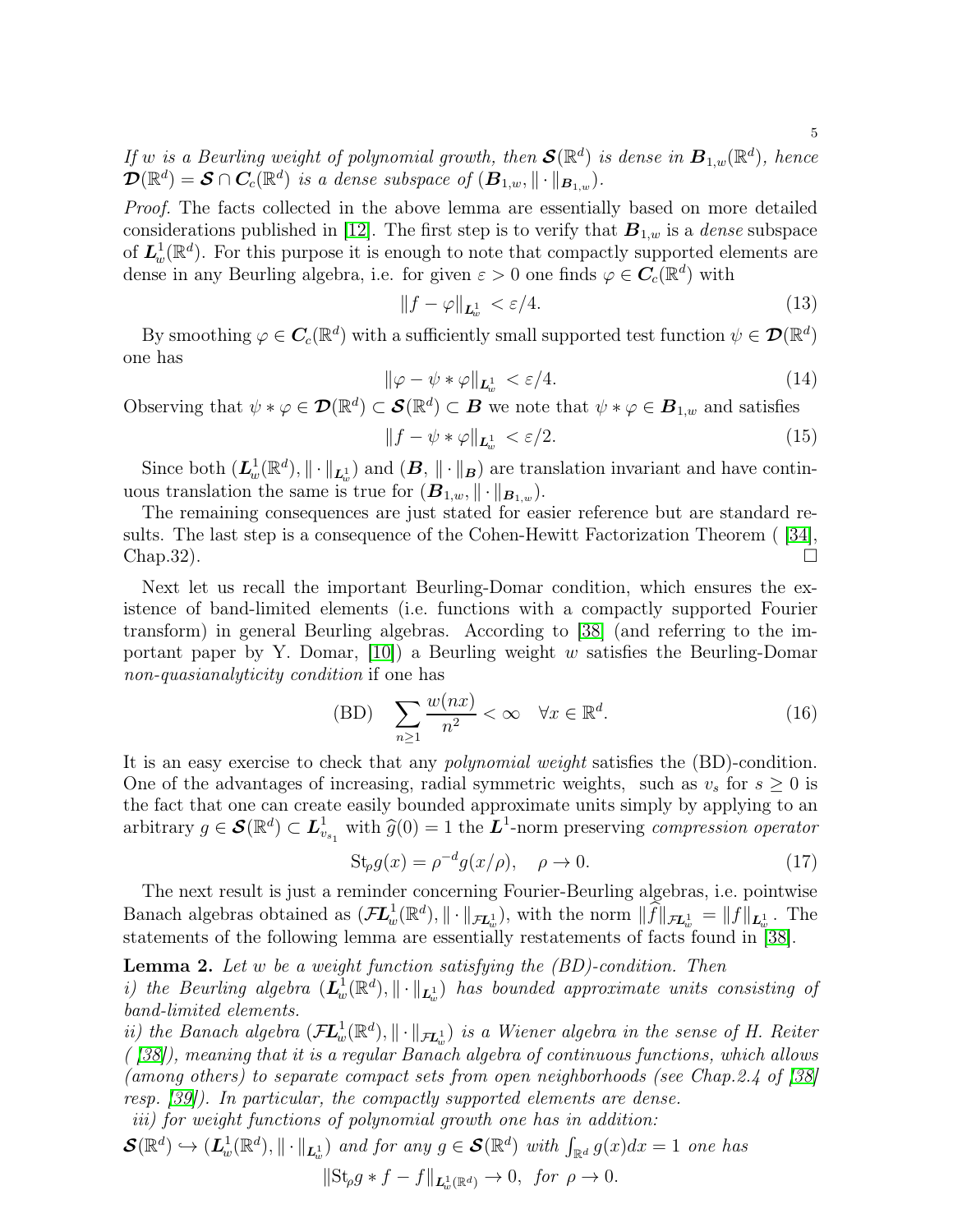*If* w is a Beurling weight of polynomial growth, then  $\mathcal{S}(\mathbb{R}^d)$  is dense in  $B_{1,w}(\mathbb{R}^d)$ , hence  $\mathcal{D}(\mathbb{R}^d) = \mathcal{S} \cap C_c(\mathbb{R}^d)$  is a dense subspace of  $(B_{1,w}, \|\cdot\|_{B_{1,w}})$ .

*Proof.* The facts collected in the above lemma are essentially based on more detailed considerations published in [\[12\]](#page-13-8). The first step is to verify that  $B_{1,w}$  is a *dense* subspace of  $\mathbf{L}^1_w(\mathbb{R}^d)$ . For this purpose it is enough to note that compactly supported elements are dense in any Beurling algebra, i.e. for given  $\varepsilon > 0$  one finds  $\varphi \in C_c(\mathbb{R}^d)$  with

$$
||f - \varphi||_{\mathbf{L}^1_{\omega}} < \varepsilon/4. \tag{13}
$$

By smoothing  $\varphi \in \pmb{C}_c(\mathbb R^d)$  with a sufficiently small supported test function  $\psi \in \pmb{\mathcal{D}}(\mathbb R^d)$ one has

$$
\|\varphi - \psi * \varphi\|_{\mathbf{L}^1_w} < \varepsilon/4. \tag{14}
$$

Observing that  $\psi * \varphi \in \mathcal{D}(\mathbb{R}^d) \subset \mathcal{S}(\mathbb{R}^d) \subset \mathcal{B}$  we note that  $\psi * \varphi \in \mathcal{B}_{1,w}$  and satisfies

$$
||f - \psi * \varphi||_{\mathbf{L}^1_w} < \varepsilon/2. \tag{15}
$$

Since both  $(\mathbf{L}_{w}^{1}(\mathbb{R}^{d}),\|\cdot\|_{\mathbf{L}_{w}^{1}})$  and  $(\mathbf{B},\|\cdot\|_{\mathbf{B}})$  are translation invariant and have continuous translation the same is true for  $(\mathbf{B}_{1,w}, \|\cdot\|_{\mathbf{B}_{1,w}})$ .

The remaining consequences are just stated for easier reference but are standard results. The last step is a consequence of the Cohen-Hewitt Factorization Theorem ( [\[34\]](#page-14-7), Chap.32).

Next let us recall the important Beurling-Domar condition, which ensures the existence of band-limited elements (i.e. functions with a compactly supported Fourier transform) in general Beurling algebras. According to [\[38\]](#page-14-5) (and referring to the important paper by Y. Domar,  $|10\rangle$  a Beurling weight w satisfies the Beurling-Domar *non-quasianalyticity condition* if one has

(BD) 
$$
\sum_{n\geq 1} \frac{w(nx)}{n^2} < \infty \quad \forall x \in \mathbb{R}^d. \tag{16}
$$

It is an easy exercise to check that any *polynomial weight* satisfies the (BD)-condition. One of the advantages of increasing, radial symmetric weights, such as  $v_s$  for  $s \geq 0$  is the fact that one can create easily bounded approximate units simply by applying to an arbitrary  $g \in \mathcal{S}(\mathbb{R}^d) \subset L^1_{v_{s_1}}$  with  $\widehat{g}(0) = 1$  the  $L^1$ -norm preserving *compression operator* 

$$
St_{\rho}g(x) = \rho^{-d}g(x/\rho), \quad \rho \to 0.
$$
 (17)

The next result is just a reminder concerning Fourier-Beurling algebras, i.e. pointwise Banach algebras obtained as  $(\mathcal{F}\mathcal{L}_{w}^{1}(\mathbb{R}^{d}), \|\cdot\|_{\mathcal{F}\mathcal{L}_{w}^{1}})$ , with the norm  $\|\widehat{f}\|_{\mathcal{F}\mathcal{L}_{w}^{1}} = \|f\|_{\mathcal{L}_{w}^{1}}$ . The statements of the following lemma are essentially restatements of facts found in [\[38\]](#page-14-5).

Lemma 2. *Let* w *be a weight function satisfying the (BD)-condition. Then i)* the Beurling algebra  $(\mathbf{L}_w^1(\mathbb{R}^d), \|\cdot\|_{\mathbf{L}_w^1})$  has bounded approximate units consisting of *band-limited elements.*

*ii)* the Banach algebra  $(\mathcal{F} \mathcal{L}^1_w(\mathbb{R}^d), \| \cdot \|_{\mathcal{F}\mathcal{L}^1_w})$  is a Wiener algebra in the sense of H. Reiter *( [\[38\]](#page-14-5)), meaning that it is a regular Banach algebra of continuous functions, which allows (among others) to separate compact sets from open neighborhoods (see Chap.2.4 of [\[38\]](#page-14-5) resp. [\[39\]](#page-14-3)). In particular, the compactly supported elements are dense.*

*iii) for weight functions of polynomial growth one has in addition:*

$$
\mathcal{S}(\mathbb{R}^d) \hookrightarrow (L^1_w(\mathbb{R}^d), \|\cdot\|_{L^1_w}) \text{ and for any } g \in \mathcal{S}(\mathbb{R}^d) \text{ with } \int_{\mathbb{R}^d} g(x)dx = 1 \text{ one has}
$$

$$
\|\text{St}_{\rho}g * f - f\|_{\mathbf{L}^1_w(\mathbb{R}^d)} \to 0, \text{ for } \rho \to 0.
$$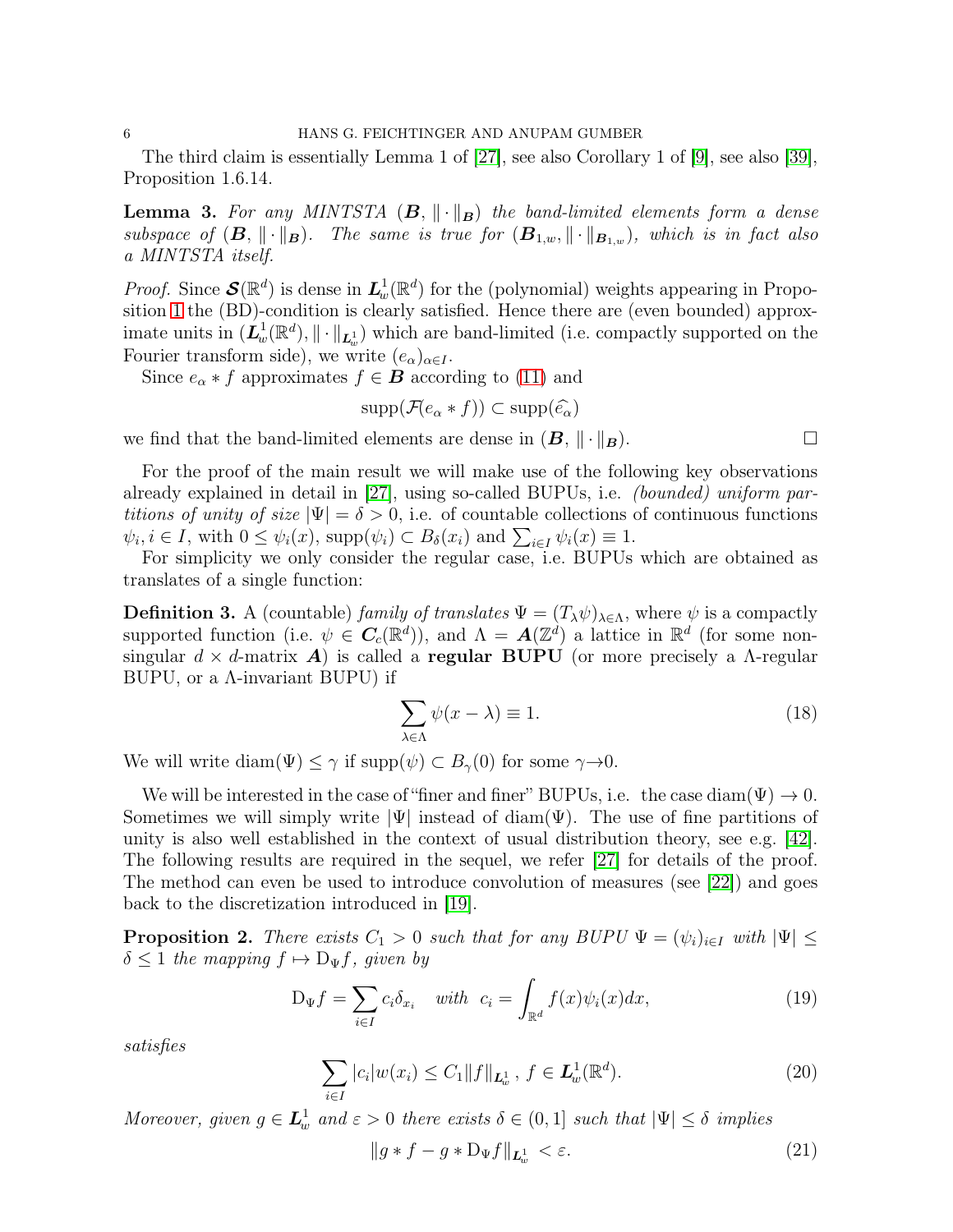The third claim is essentially Lemma 1 of [\[27\]](#page-13-0), see also Corollary 1 of [\[9\]](#page-13-1), see also [\[39\]](#page-14-3), Proposition 1.6.14.

**Lemma 3.** For any MINTSTA  $(B, \|\cdot\|_B)$  the band-limited elements form a dense *subspace of*  $(\mathbf{B}, \|\cdot\|_{\mathbf{B}})$ . The same is true for  $(\mathbf{B}_{1,w}, \|\cdot\|_{\mathbf{B}_{1,w}})$ , which is in fact also *a MINTSTA itself.*

*Proof.* Since  $\mathcal{S}(\mathbb{R}^d)$  is dense in  $\mathcal{L}^1_w(\mathbb{R}^d)$  for the (polynomial) weights appearing in Proposition [1](#page-3-1) the (BD)-condition is clearly satisfied. Hence there are (even bounded) approximate units in  $(\dot{L}_w^1(\mathbb{R}^d), \|\cdot\|_{L^1_w})$  which are band-limited (i.e. compactly supported on the Fourier transform side), we write  $(e_{\alpha})_{\alpha \in I}$ .

Since  $e_{\alpha} * f$  approximates  $f \in \mathbf{B}$  according to [\(11\)](#page-3-2) and

$$
\mathrm{supp}(\mathcal{F}(e_{\alpha}*f)) \subset \mathrm{supp}(\widehat{e_{\alpha}})
$$

we find that the band-limited elements are dense in  $(B, \|\cdot\|_B)$ .

For the proof of the main result we will make use of the following key observations already explained in detail in [\[27\]](#page-13-0), using so-called BUPUs, i.e. *(bounded) uniform partitions of unity of size*  $|\Psi| = \delta > 0$ , i.e. of countable collections of continuous functions  $\psi_i, i \in I$ , with  $0 \leq \psi_i(x)$ , supp $(\psi_i) \subset B_\delta(x_i)$  and  $\sum_{i \in I} \psi_i(x) \equiv 1$ .

For simplicity we only consider the regular case, i.e. BUPUs which are obtained as translates of a single function:

**Definition 3.** A (countable) *family of translates*  $\Psi = (T_{\lambda}\psi)_{\lambda \in \Lambda}$ , where  $\psi$  is a compactly supported function (i.e.  $\psi \in \mathbf{C}_c(\mathbb{R}^d)$ ), and  $\Lambda = \mathbf{A}(\mathbb{Z}^d)$  a lattice in  $\mathbb{R}^d$  (for some nonsingular  $d \times d$ -matrix **A**) is called a **regular BUPU** (or more precisely a  $\Lambda$ -regular BUPU, or a Λ-invariant BUPU) if

$$
\sum_{\lambda \in \Lambda} \psi(x - \lambda) \equiv 1. \tag{18}
$$

We will write diam( $\Psi$ )  $\leq \gamma$  if supp( $\psi$ )  $\subset B_{\gamma}(0)$  for some  $\gamma \rightarrow 0$ .

We will be interested in the case of "finer and finer" BUPUs, i.e. the case diam( $\Psi$ )  $\rightarrow$  0. Sometimes we will simply write  $|\Psi|$  instead of diam( $\Psi$ ). The use of fine partitions of unity is also well established in the context of usual distribution theory, see e.g. [\[42\]](#page-14-8). The following results are required in the sequel, we refer [\[27\]](#page-13-0) for details of the proof. The method can even be used to introduce convolution of measures (see [\[22\]](#page-13-12)) and goes back to the discretization introduced in [\[19\]](#page-13-13).

**Proposition 2.** *There exists*  $C_1 > 0$  *such that for any BUPU*  $\Psi = (\psi_i)_{i \in I}$  *with*  $|\Psi| \leq$  $\delta \leq 1$  *the mapping*  $f \mapsto D_{\Psi}f$ *, given by* 

$$
D_{\Psi}f = \sum_{i \in I} c_i \delta_{x_i} \quad \text{with} \quad c_i = \int_{\mathbb{R}^d} f(x)\psi_i(x)dx,\tag{19}
$$

*satisfies*

$$
\sum_{i \in I} |c_i| w(x_i) \le C_1 \|f\|_{\mathbf{L}^1_w}, \ f \in \mathbf{L}^1_w(\mathbb{R}^d). \tag{20}
$$

*Moreover, given*  $g \in L_w^1$  and  $\varepsilon > 0$  there exists  $\delta \in (0,1]$  such that  $|\Psi| \leq \delta$  *implies* 

$$
\|g \ast f - g \ast D_{\Psi} f\|_{\mathbf{L}^1_w} < \varepsilon. \tag{21}
$$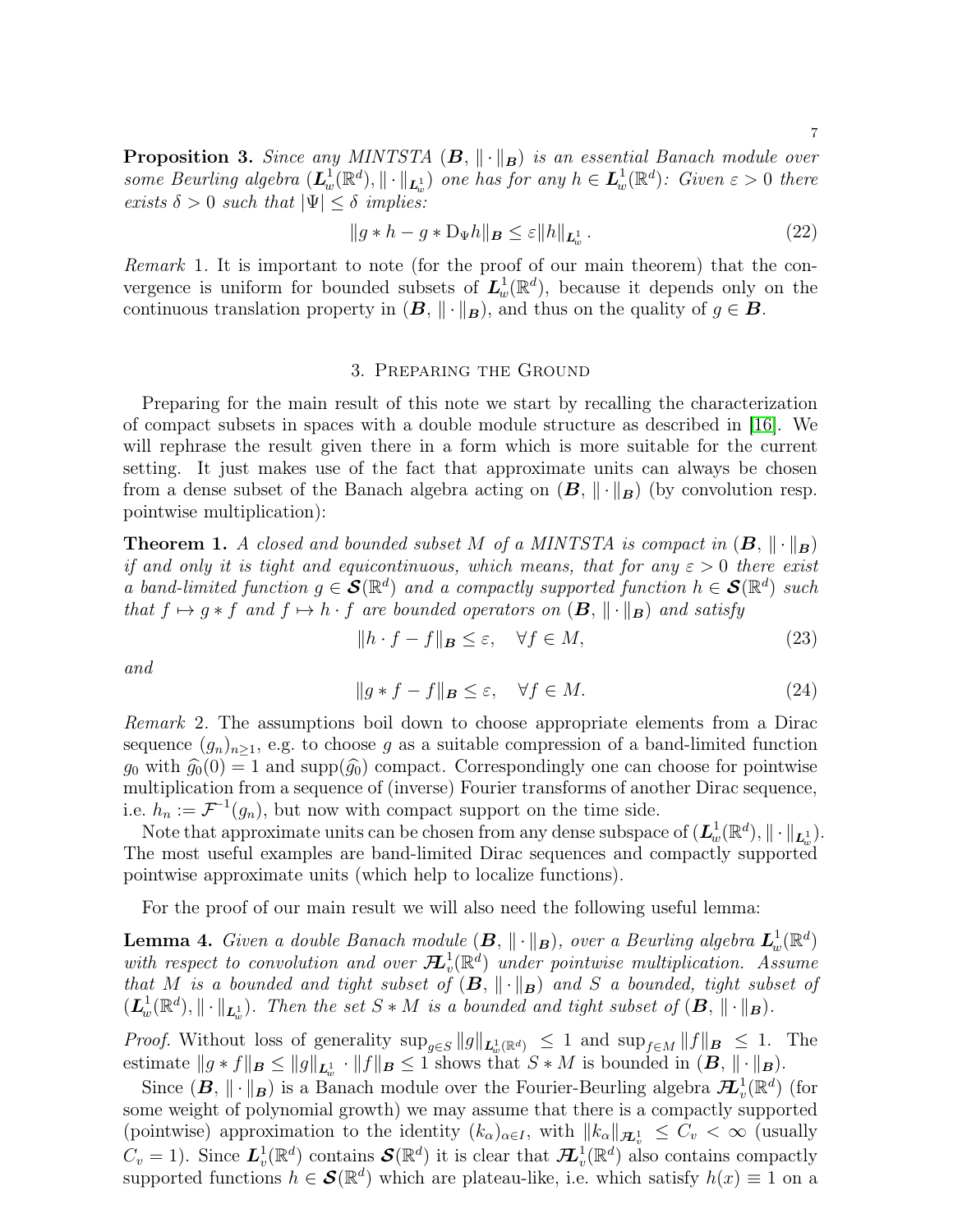<span id="page-6-3"></span>**Proposition 3.** *Since any MINTSTA*  $(B, \|\cdot\|_B)$  *is an essential Banach module over some Beurling algebra*  $(L_w^1(\mathbb{R}^d), \|\cdot\|_{L_w^1})$  *one has for any*  $h \in L_w^1(\mathbb{R}^d)$ : Given  $\varepsilon > 0$  there *exists*  $\delta > 0$  *such that*  $|\Psi| \leq \delta$  *implies:* 

$$
||g * h - g * D_{\Psi}h||_{\mathbf{B}} \le \varepsilon ||h||_{\mathbf{L}^1_w}.
$$
\n(22)

*Remark* 1. It is important to note (for the proof of our main theorem) that the convergence is uniform for bounded subsets of  $L_w^1(\mathbb{R}^d)$ , because it depends only on the continuous translation property in  $(B, \|\cdot\|_B)$ , and thus on the quality of  $g \in B$ .

## 3. Preparing the Ground

Preparing for the main result of this note we start by recalling the characterization of compact subsets in spaces with a double module structure as described in [\[16\]](#page-13-2). We will rephrase the result given there in a form which is more suitable for the current setting. It just makes use of the fact that approximate units can always be chosen from a dense subset of the Banach algebra acting on  $(B, \|\cdot\|_B)$  (by convolution resp. pointwise multiplication):

<span id="page-6-1"></span>**Theorem 1.** *A closed and bounded subset* M of a MINTSTA is compact in  $(B, \|\cdot\|_B)$ *if and only it is tight and equicontinuous, which means, that for any*  $\varepsilon > 0$  *there exist a* band-limited function  $g \in \mathcal{S}(\mathbb{R}^d)$  and a compactly supported function  $h \in \mathcal{S}(\mathbb{R}^d)$  such *that*  $f \mapsto q * f$  *and*  $f \mapsto h \cdot f$  *are bounded operators on*  $(B, \|\cdot\|_B)$  *and satisfy* 

$$
||h \cdot f - f||_{\mathbf{B}} \le \varepsilon, \quad \forall f \in M,
$$
\n(23)

*and*

<span id="page-6-0"></span>
$$
||g * f - f||_B \le \varepsilon, \quad \forall f \in M. \tag{24}
$$

*Remark* 2*.* The assumptions boil down to choose appropriate elements from a Dirac sequence  $(g_n)_{n\geq 1}$ , e.g. to choose g as a suitable compression of a band-limited function  $g_0$  with  $\hat{g}_0(0) = 1$  and supp $(\hat{g}_0)$  compact. Correspondingly one can choose for pointwise multiplication from a sequence of (inverse) Fourier transforms of another Dirac sequence, i.e.  $h_n := \mathcal{F}^{-1}(g_n)$ , but now with compact support on the time side.

Note that approximate units can be chosen from any dense subspace of  $(\mathcal{L}^1_w(\mathbb{R}^d),\|\cdot\|_{\mathcal{L}^1_w}).$ The most useful examples are band-limited Dirac sequences and compactly supported pointwise approximate units (which help to localize functions).

For the proof of our main result we will also need the following useful lemma:

<span id="page-6-2"></span>**Lemma 4.** *Given a double Banach module*  $(B, \|\cdot\|_B)$ *, over a Beurling algebra*  $L_w^1(\mathbb{R}^d)$ with respect to convolution and over  $\mathcal{H}^1_v$  $v^1_{v}(\mathbb{R}^d)$  *under pointwise multiplication. Assume that* M *is a bounded and tight subset of*  $(B, \|\cdot\|_B)$  *and* S *a bounded, tight subset of*  $(\mathbf{L}_w^1(\mathbb{R}^d), \|\cdot\|_{\mathbf{L}_w^1})$ . Then the set  $S * M$  is a bounded and tight subset of  $(\mathbf{B}, \|\cdot\|_{\mathbf{B}})$ .

*Proof.* Without loss of generality  $\sup_{g\in S} ||g||_{\mathbf{L}^1_w(\mathbb{R}^d)} \leq 1$  and  $\sup_{f\in M} ||f||_{\mathbf{B}} \leq 1$ . The estimate  $||g * f||_B \le ||g||_{L^1_w} \cdot ||f||_B \le 1$  shows that  $S * M$  is bounded in  $(B, ||\cdot||_B)$ .

Since  $(B, \| \cdot \|_B)$  is a Banach module over the Fourier-Beurling algebra  $\mathcal{H}^1_v(\mathbb{R}^d)$  (for some weight of polynomial growth) we may assume that there is a compactly supported (pointwise) approximation to the identity  $(k_{\alpha})_{\alpha \in I}$ , with  $||k_{\alpha}||_{\mathcal{H}_{v}^{1}} \leq C_{v} < \infty$  (usually  $C_v = 1$ ). Since  $\mathbf{L}_v^1(\mathbb{R}^d)$  contains  $\mathbf{S}(\mathbb{R}^d)$  it is clear that  $\mathbf{H}_v^1(\mathbb{R}^d)$  also contains compactly supported functions  $h \in \mathcal{S}(\mathbb{R}^d)$  which are plateau-like, i.e. which satisfy  $h(x) \equiv 1$  on a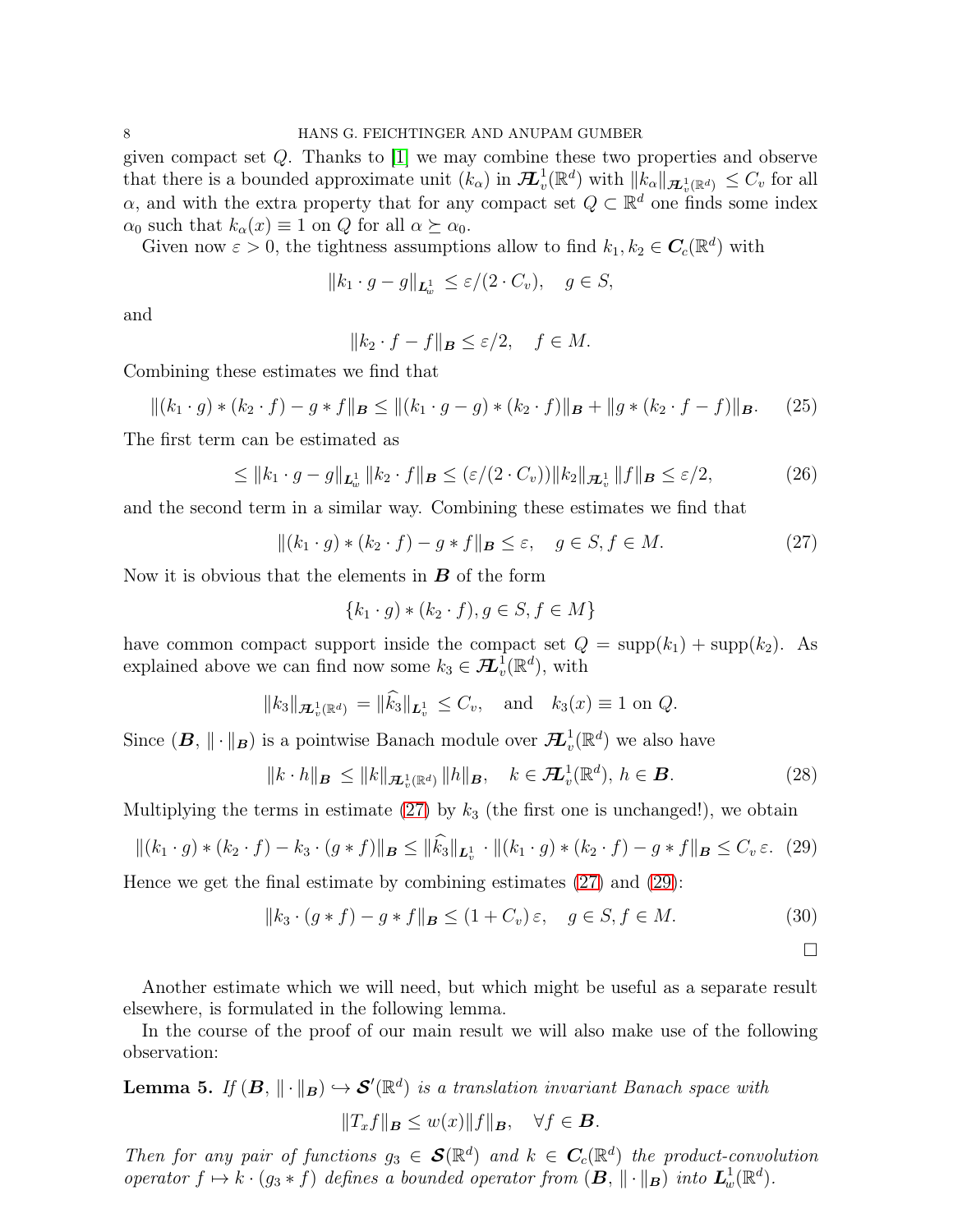given compact set Q. Thanks to [\[1\]](#page-12-2) we may combine these two properties and observe that there is a bounded approximate unit  $(k_{\alpha})$  in  $\mathcal{H}^1_v$  $v^1_v(\mathbb{R}^d)$  with  $||k_\alpha||_{\mathcal{H}^1_v(\mathbb{R}^d)} \leq C_v$  for all  $\alpha$ , and with the extra property that for any compact set  $Q \subset \mathbb{R}^d$  one finds some index  $\alpha_0$  such that  $k_\alpha(x) \equiv 1$  on Q for all  $\alpha \succeq \alpha_0$ .

Given now  $\varepsilon > 0$ , the tightness assumptions allow to find  $k_1, k_2 \in C_c(\mathbb{R}^d)$  with

$$
||k_1 \cdot g - g||_{\mathbf{L}^1_w} \le \varepsilon/(2 \cdot C_v), \quad g \in S,
$$

and

$$
||k_2 \cdot f - f||_{\mathbf{B}} \le \varepsilon/2, \quad f \in M.
$$

Combining these estimates we find that

$$
\|(k_1 \cdot g) * (k_2 \cdot f) - g * f\|_{\mathbf{B}} \le \|(k_1 \cdot g - g) * (k_2 \cdot f)\|_{\mathbf{B}} + \|g * (k_2 \cdot f - f)\|_{\mathbf{B}}.
$$
 (25)

The first term can be estimated as

$$
\leq ||k_1 \cdot g - g||_{\mathbf{L}^1_w} ||k_2 \cdot f||_{\mathbf{B}} \leq (\varepsilon/(2 \cdot C_v)) ||k_2||_{\mathbf{H}^1_v} ||f||_{\mathbf{B}} \leq \varepsilon/2,
$$
\n(26)

and the second term in a similar way. Combining these estimates we find that

<span id="page-7-0"></span>
$$
\|(k_1 \cdot g) * (k_2 \cdot f) - g * f\|_{\mathbf{B}} \le \varepsilon, \quad g \in S, f \in M. \tag{27}
$$

Now it is obvious that the elements in  $\boldsymbol{B}$  of the form

$$
\{k_1 \cdot g \} * (k_2 \cdot f), g \in S, f \in M\}
$$

have common compact support inside the compact set  $Q = \text{supp}(k_1) + \text{supp}(k_2)$ . As explained above we can find now some  $k_3 \in \mathcal{H}_v^1(\mathbb{R}^d)$ , with

$$
||k_3||_{\mathcal{H}_v^1(\mathbb{R}^d)} = ||k_3||_{L_v^1} \leq C_v
$$
, and  $k_3(x) \equiv 1$  on  $Q$ .

Since  $(B, \| \cdot \|_B)$  is a pointwise Banach module over  $\mathcal{H}^1_v$  $v^1_v(\mathbb{R}^d)$  we also have

$$
\|k \cdot h\|_{\mathbf{B}} \le \|k\|_{\mathbf{\mathcal{H}}_v^1(\mathbb{R}^d)} \|h\|_{\mathbf{B}}, \quad k \in \mathbf{\mathcal{H}}_v^1(\mathbb{R}^d), h \in \mathbf{B}.
$$
 (28)

Multiplying the terms in estimate  $(27)$  by  $k_3$  (the first one is unchanged!), we obtain

<span id="page-7-1"></span>
$$
\|(k_1 \cdot g) * (k_2 \cdot f) - k_3 \cdot (g * f)\|_{\mathbf{B}} \le \|\widehat{k_3}\|_{\mathbf{L}^1_v} \cdot \|(k_1 \cdot g) * (k_2 \cdot f) - g * f\|_{\mathbf{B}} \le C_v \varepsilon. \tag{29}
$$

Hence we get the final estimate by combining estimates  $(27)$  and  $(29)$ :

$$
||k_3 \cdot (g * f) - g * f||_B \le (1 + C_v) \varepsilon, \quad g \in S, f \in M.
$$
\n
$$
\Box
$$

Another estimate which we will need, but which might be useful as a separate result elsewhere, is formulated in the following lemma.

In the course of the proof of our main result we will also make use of the following observation:

<span id="page-7-2"></span>**Lemma 5.** If  $(B, \|\cdot\|_B) \hookrightarrow \mathcal{S}'(\mathbb{R}^d)$  is a translation invariant Banach space with

$$
||T_xf||_B \le w(x)||f||_B, \quad \forall f \in B.
$$

*Then for any pair of functions*  $g_3 \in \mathcal{S}(\mathbb{R}^d)$  *and*  $k \in C_c(\mathbb{R}^d)$  *the product-convolution operator*  $f \mapsto k \cdot (g_3 * f)$  *defines a bounded operator from*  $(B, \|\cdot\|_B)$  *into*  $L^1_w(\mathbb{R}^d)$ *.*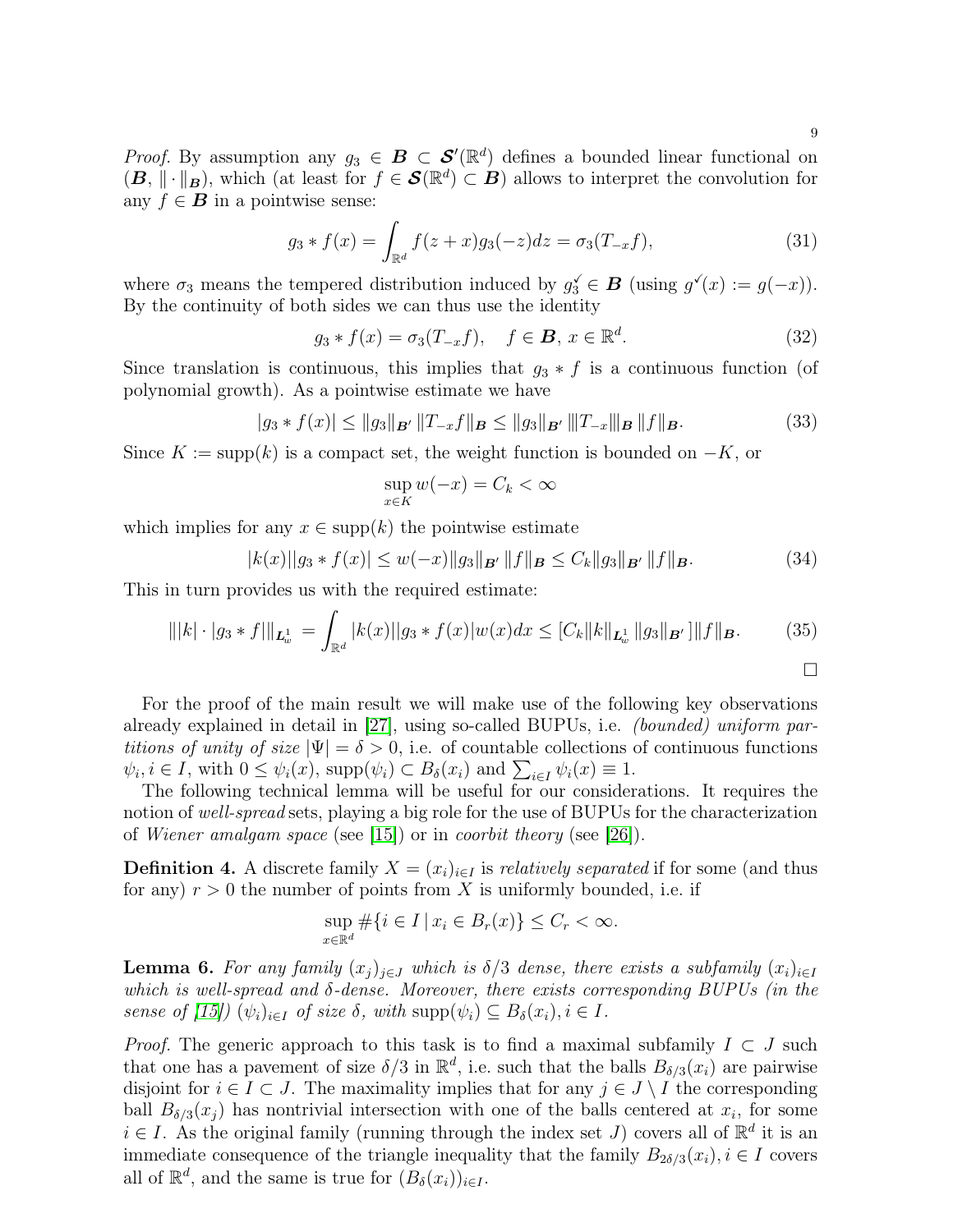*Proof.* By assumption any  $g_3 \in \mathcal{B} \subset \mathcal{S}'(\mathbb{R}^d)$  defines a bounded linear functional on  $(\mathbf{B}, \|\cdot\|_{\mathbf{B}})$ , which (at least for  $f \in \mathcal{S}(\mathbb{R}^d) \subset \mathbf{B}$ ) allows to interpret the convolution for any  $f \in \mathbf{B}$  in a pointwise sense:

$$
g_3 * f(x) = \int_{\mathbb{R}^d} f(z+x)g_3(-z)dz = \sigma_3(T_{-x}f), \tag{31}
$$

where  $\sigma_3$  means the tempered distribution induced by  $g_3 \in \mathbf{B}$  (using  $g'(x) := g(-x)$ ). By the continuity of both sides we can thus use the identity

$$
g_3 * f(x) = \sigma_3(T_{-x}f), \quad f \in \mathbf{B}, \ x \in \mathbb{R}^d. \tag{32}
$$

Since translation is continuous, this implies that  $g_3 * f$  is a continuous function (of polynomial growth). As a pointwise estimate we have

$$
|g_3 * f(x)| \le ||g_3||_{\mathbf{B}'} ||T_{-x}f||_{\mathbf{B}} \le ||g_3||_{\mathbf{B}'} ||T_{-x}||_{\mathbf{B}} ||f||_{\mathbf{B}}.
$$
 (33)

Since  $K := \text{supp}(k)$  is a compact set, the weight function is bounded on  $-K$ , or

$$
\sup_{x \in K} w(-x) = C_k < \infty
$$

which implies for any  $x \in \text{supp}(k)$  the pointwise estimate

$$
|k(x)||g_3 * f(x)| \le w(-x)||g_3||_{\mathbf{B}'} ||f||_{\mathbf{B}} \le C_k ||g_3||_{\mathbf{B}'} ||f||_{\mathbf{B}}.
$$
 (34)

This in turn provides us with the required estimate:

$$
\| |k| \cdot |g_3 * f| \|_{\mathbf{L}^1_w} = \int_{\mathbb{R}^d} |k(x)| |g_3 * f(x)| w(x) dx \leq [C_k ||k||_{\mathbf{L}^1_w} ||g_3||_{\mathbf{B}'}] ||f||_{\mathbf{B}}.
$$
 (35)

For the proof of the main result we will make use of the following key observations already explained in detail in [\[27\]](#page-13-0), using so-called BUPUs, i.e. *(bounded) uniform partitions of unity of size*  $|\Psi| = \delta > 0$ , i.e. of countable collections of continuous functions  $\psi_i, i \in I$ , with  $0 \leq \psi_i(x)$ , supp $(\psi_i) \subset B_\delta(x_i)$  and  $\sum_{i \in I} \psi_i(x) \equiv 1$ .

The following technical lemma will be useful for our considerations. It requires the notion of *well-spread* sets, playing a big role for the use of BUPUs for the characterization of *Wiener amalgam space* (see [\[15\]](#page-13-14)) or in *coorbit theory* (see [\[26\]](#page-13-15)).

**Definition 4.** A discrete family  $X = (x_i)_{i \in I}$  is *relatively separated* if for some (and thus for any)  $r > 0$  the number of points from X is uniformly bounded, i.e. if

$$
\sup_{x \in \mathbb{R}^d} \# \{ i \in I \, | \, x_i \in B_r(x) \} \le C_r < \infty.
$$

<span id="page-8-0"></span>**Lemma 6.** For any family  $(x_i)_{i\in J}$  which is  $\delta/3$  dense, there exists a subfamily  $(x_i)_{i\in I}$ *which is well-spread and* δ*-dense. Moreover, there exists corresponding BUPUs (in the sense of*  $[15]$ *)*  $(\psi_i)_{i \in I}$  *of size*  $\delta$ *, with* supp $(\psi_i) \subseteq B_{\delta}(x_i), i \in I$ *.* 

*Proof.* The generic approach to this task is to find a maximal subfamily  $I \subset J$  such that one has a pavement of size  $\delta/3$  in  $\mathbb{R}^d$ , i.e. such that the balls  $B_{\delta/3}(x_i)$  are pairwise disjoint for  $i \in I \subset J$ . The maximality implies that for any  $j \in J \setminus I$  the corresponding ball  $B_{\delta/3}(x_j)$  has nontrivial intersection with one of the balls centered at  $x_i$ , for some  $i \in I$ . As the original family (running through the index set J) covers all of  $\mathbb{R}^d$  it is an immediate consequence of the triangle inequality that the family  $B_{2\delta/3}(x_i), i \in I$  covers all of  $\mathbb{R}^d$ , and the same is true for  $(B_\delta(x_i))_{i\in I}$ .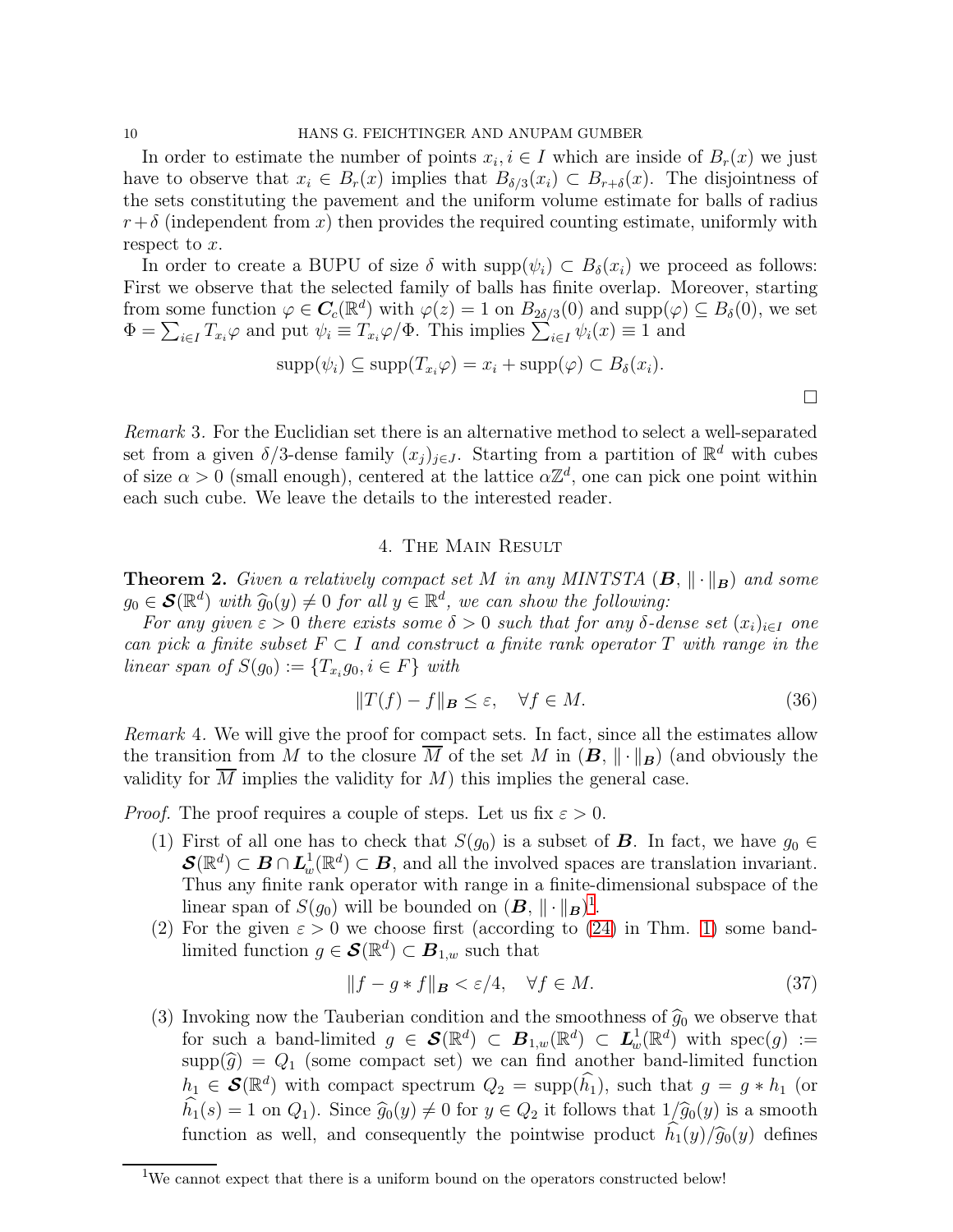In order to estimate the number of points  $x_i, i \in I$  which are inside of  $B_r(x)$  we just have to observe that  $x_i \in B_r(x)$  implies that  $B_{\delta/3}(x_i) \subset B_{r+\delta}(x)$ . The disjointness of the sets constituting the pavement and the uniform volume estimate for balls of radius  $r+\delta$  (independent from x) then provides the required counting estimate, uniformly with respect to  $x$ .

In order to create a BUPU of size  $\delta$  with supp $(\psi_i) \subset B_{\delta}(x_i)$  we proceed as follows: First we observe that the selected family of balls has finite overlap. Moreover, starting from some function  $\varphi \in \mathbf{C}_c(\mathbb{R}^d)$  with  $\varphi(z) = 1$  on  $B_{2\delta/3}(0)$  and  $\text{supp}(\varphi) \subseteq B_{\delta}(0)$ , we set  $\Phi = \sum_{i \in I} T_{x_i} \varphi$  and put  $\psi_i \equiv T_{x_i} \varphi / \Phi$ . This implies  $\sum_{i \in I} \psi_i(x) \equiv 1$  and

$$
supp(\psi_i) \subseteq supp(T_{x_i}\varphi) = x_i + supp(\varphi) \subset B_{\delta}(x_i).
$$

*Remark* 3*.* For the Euclidian set there is an alternative method to select a well-separated set from a given  $\delta/3$ -dense family  $(x_j)_{j\in J}$ . Starting from a partition of  $\mathbb{R}^d$  with cubes of size  $\alpha > 0$  (small enough), centered at the lattice  $\alpha \mathbb{Z}^d$ , one can pick one point within each such cube. We leave the details to the interested reader.

## 4. The Main Result

<span id="page-9-2"></span>**Theorem 2.** *Given a relatively compact set* M *in any MINTSTA*  $(B, \|\cdot\|_B)$  *and some*  $g_0 \in \mathcal{S}(\mathbb{R}^d)$  with  $\widehat{g}_0(y) \neq 0$  for all  $y \in \mathbb{R}^d$ , we can show the following:

*For any given*  $\varepsilon > 0$  *there exists some*  $\delta > 0$  *such that for any*  $\delta$ -dense set  $(x_i)_{i \in I}$  *one can pick a finite subset*  $F \subset I$  *and construct a finite rank operator*  $T$  *with range in the*  $linear \, span \, of \, S(g_0) := \{T_{x_i}g_0, i \in F\} \, with$ 

$$
||T(f) - f||_B \le \varepsilon, \quad \forall f \in M. \tag{36}
$$

 $\Box$ 

*Remark* 4*.* We will give the proof for compact sets. In fact, since all the estimates allow the transition from M to the closure M of the set M in  $(B, \|\cdot\|_B)$  (and obviously the validity for M implies the validity for  $M$ ) this implies the general case.

*Proof.* The proof requires a couple of steps. Let us fix  $\varepsilon > 0$ .

- (1) First of all one has to check that  $S(g_0)$  is a subset of **B**. In fact, we have  $g_0 \in$  $\mathcal{S}(\mathbb{R}^d) \subset \mathcal{B} \cap L^1_w(\mathbb{R}^d) \subset \mathcal{B}$ , and all the involved spaces are translation invariant. Thus any finite rank operator with range in a finite-dimensional subspace of the linear span of  $S(g_0)$  will be bounded on  $(B, \|\cdot\|_B)^1$  $(B, \|\cdot\|_B)^1$ .
- (2) For the given  $\varepsilon > 0$  we choose first (according to [\(24\)](#page-6-0) in Thm. [1\)](#page-6-1) some bandlimited function  $g \in \mathcal{S}(\mathbb{R}^d) \subset \mathbf{B}_{1,w}$  such that

<span id="page-9-1"></span>
$$
||f - g * f||_B < \varepsilon/4, \quad \forall f \in M.
$$
 (37)

(3) Invoking now the Tauberian condition and the smoothness of  $\hat{g}_0$  we observe that for such a band-limited  $g \in \mathcal{S}(\mathbb{R}^d) \subset B_{1,w}(\mathbb{R}^d) \subset L^1_w(\mathbb{R}^d)$  with  $\operatorname{spec}(g) :=$  $\text{supp}(\widehat{g}) = Q_1$  (some compact set) we can find another band-limited function  $h_1 \in \mathcal{S}(\mathbb{R}^d)$  with compact spectrum  $Q_2 = \text{supp}(\widehat{h_1})$ , such that  $g = g * h_1$  (or  $h_1(s) = 1$  on  $Q_1$ ). Since  $\widehat{g}_0(y) \neq 0$  for  $y \in Q_2$  it follows that  $1/\widehat{g}_0(y)$  is a smooth function as well, and consequently the pointwise product  $h_1(y)/\hat{g}_0(y)$  defines

<span id="page-9-0"></span><sup>&</sup>lt;sup>1</sup>We cannot expect that there is a uniform bound on the operators constructed below!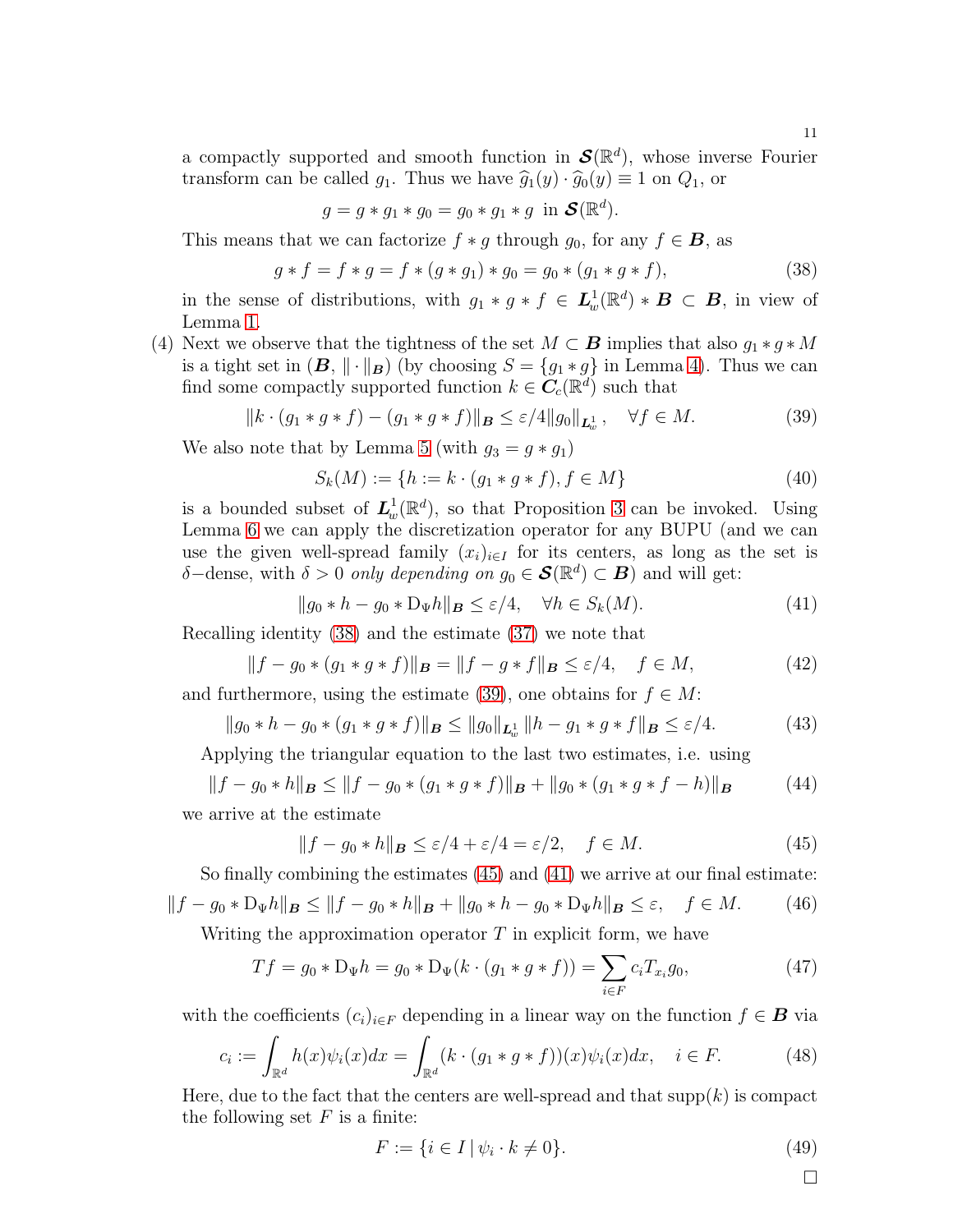a compactly supported and smooth function in  $\mathcal{S}(\mathbb{R}^d)$ , whose inverse Fourier transform can be called  $g_1$ . Thus we have  $\widehat{g}_1(y) \cdot \widehat{g}_0(y) \equiv 1$  on  $Q_1$ , or

$$
g = g * g_1 * g_0 = g_0 * g_1 * g \text{ in } \mathcal{S}(\mathbb{R}^d).
$$

This means that we can factorize  $f * g$  through  $g_0$ , for any  $f \in \mathbf{B}$ , as

<span id="page-10-0"></span>
$$
g * f = f * g = f * (g * g_1) * g_0 = g_0 * (g_1 * g * f),
$$
\n(38)

in the sense of distributions, with  $g_1 * g * f \in L^1_w(\mathbb{R}^d) * B \subset B$ , in view of Lemma [1.](#page-3-3)

(4) Next we observe that the tightness of the set  $M \subset \mathbf{B}$  implies that also  $g_1 * g * M$ is a tight set in  $(\mathbf{B}, \|\cdot\|_{\mathbf{B}})$  (by choosing  $S = \{g_1 * g\}$  in Lemma [4\)](#page-6-2). Thus we can find some compactly supported function  $k \in \mathbb{C}_c(\mathbb{R}^d)$  such that

<span id="page-10-1"></span>
$$
||k \cdot (g_1 * g * f) - (g_1 * g * f)||_B \le \varepsilon / 4 ||g_0||_{L^1_w}, \quad \forall f \in M.
$$
 (39)

We also note that by Lemma [5](#page-7-2) (with  $g_3 = g * g_1$ )

$$
S_k(M) := \{ h := k \cdot (g_1 * g * f), f \in M \}
$$
\n<sup>(40)</sup>

is a bounded subset of  $L_w^1(\mathbb{R}^d)$ , so that Proposition [3](#page-6-3) can be invoked. Using Lemma [6](#page-8-0) we can apply the discretization operator for any BUPU (and we can use the given well-spread family  $(x_i)_{i\in I}$  for its centers, as long as the set is  $\delta$ -dense, with  $\delta > 0$  *only depending on*  $g_0 \in \mathcal{S}(\mathbb{R}^d) \subset \mathcal{B}$  and will get:

<span id="page-10-3"></span>
$$
||g_0 * h - g_0 * D_{\Psi} h||_{\mathbf{B}} \le \varepsilon/4, \quad \forall h \in S_k(M). \tag{41}
$$

Recalling identity [\(38\)](#page-10-0) and the estimate [\(37\)](#page-9-1) we note that

$$
||f - g_0 * (g_1 * g * f)||_B = ||f - g * f||_B \le \varepsilon/4, \quad f \in M,
$$
\n(42)

and furthermore, using the estimate [\(39\)](#page-10-1), one obtains for  $f \in M$ :

$$
||g_0 * h - g_0 * (g_1 * g * f)||_{\mathbf{B}} \le ||g_0||_{\mathbf{L}^1_w} ||h - g_1 * g * f||_{\mathbf{B}} \le \varepsilon/4.
$$
 (43)

Applying the triangular equation to the last two estimates, i.e. using

$$
||f - g_0 * h||_B \le ||f - g_0 * (g_1 * g * f)||_B + ||g_0 * (g_1 * g * f - h)||_B
$$
 (44)

we arrive at the estimate

<span id="page-10-2"></span>
$$
||f - g_0 * h||_B \le \varepsilon/4 + \varepsilon/4 = \varepsilon/2, \quad f \in M. \tag{45}
$$

So finally combining the estimates [\(45\)](#page-10-2) and [\(41\)](#page-10-3) we arrive at our final estimate:  $||f - g_0 * D_{\Psi}h||_{\mathbf{B}} \le ||f - g_0 * h||_{\mathbf{B}} + ||g_0 * h - g_0 * D_{\Psi}h||_{\mathbf{B}} \le \varepsilon, \quad f \in M.$  (46)

Writing the approximation operator  $T$  in explicit form, we have

$$
Tf = g_0 * D_{\Psi}h = g_0 * D_{\Psi}(k \cdot (g_1 * g * f)) = \sum_{i \in F} c_i T_{x_i} g_0,
$$
\n(47)

with the coefficients  $(c_i)_{i\in F}$  depending in a linear way on the function  $f \in \mathbf{B}$  via

$$
c_i := \int_{\mathbb{R}^d} h(x)\psi_i(x)dx = \int_{\mathbb{R}^d} (k \cdot (g_1 * g * f))(x)\psi_i(x)dx, \quad i \in F.
$$
 (48)

Here, due to the fact that the centers are well-spread and that  $supp(k)$  is compact the following set  $F$  is a finite:

$$
F := \{ i \in I \mid \psi_i \cdot k \neq 0 \}.
$$
\n(49)

 $\Box$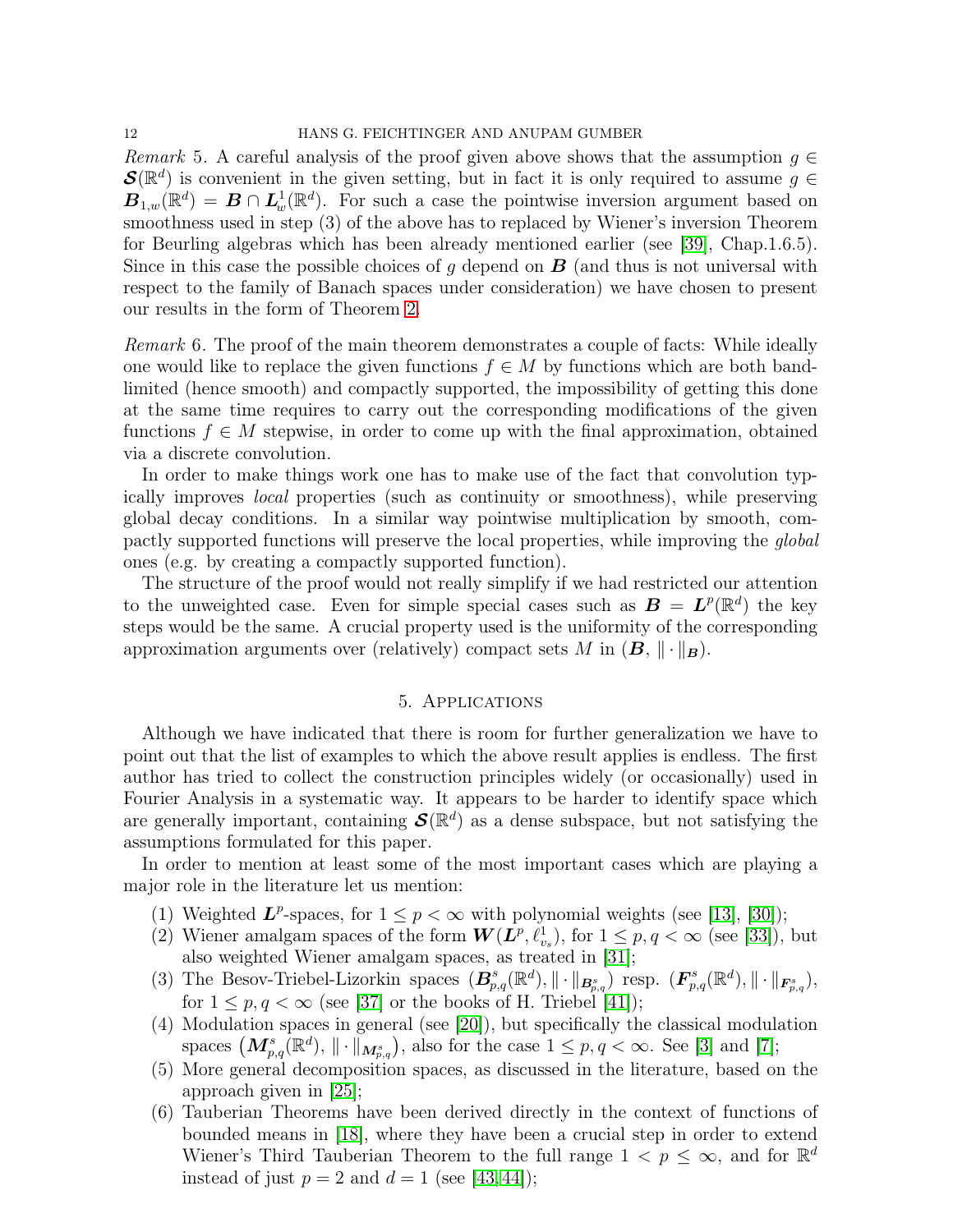*Remark* 5. A careful analysis of the proof given above shows that the assumption  $g \in$  $\mathcal{S}(\mathbb{R}^d)$  is convenient in the given setting, but in fact it is only required to assume  $g \in$  $\mathbf{B}_{1,w}(\mathbb{R}^d) = \mathbf{B} \cap \mathbf{L}^1_w(\mathbb{R}^d)$ . For such a case the pointwise inversion argument based on smoothness used in step (3) of the above has to replaced by Wiener's inversion Theorem for Beurling algebras which has been already mentioned earlier (see [\[39\]](#page-14-3), Chap.1.6.5). Since in this case the possible choices of g depend on  $\bf{B}$  (and thus is not universal with respect to the family of Banach spaces under consideration) we have chosen to present our results in the form of Theorem [2.](#page-9-2)

*Remark* 6*.* The proof of the main theorem demonstrates a couple of facts: While ideally one would like to replace the given functions  $f \in M$  by functions which are both bandlimited (hence smooth) and compactly supported, the impossibility of getting this done at the same time requires to carry out the corresponding modifications of the given functions  $f \in M$  stepwise, in order to come up with the final approximation, obtained via a discrete convolution.

In order to make things work one has to make use of the fact that convolution typically improves *local* properties (such as continuity or smoothness), while preserving global decay conditions. In a similar way pointwise multiplication by smooth, compactly supported functions will preserve the local properties, while improving the *global* ones (e.g. by creating a compactly supported function).

The structure of the proof would not really simplify if we had restricted our attention to the unweighted case. Even for simple special cases such as  $\mathbf{B} = \mathbf{L}^p(\mathbb{R}^d)$  the key steps would be the same. A crucial property used is the uniformity of the corresponding approximation arguments over (relatively) compact sets M in  $(B, \|\cdot\|_B)$ .

## 5. Applications

Although we have indicated that there is room for further generalization we have to point out that the list of examples to which the above result applies is endless. The first author has tried to collect the construction principles widely (or occasionally) used in Fourier Analysis in a systematic way. It appears to be harder to identify space which are generally important, containing  $\mathcal{S}(\mathbb{R}^d)$  as a dense subspace, but not satisfying the assumptions formulated for this paper.

In order to mention at least some of the most important cases which are playing a major role in the literature let us mention:

- (1) Weighted  $L^p$ -spaces, for  $1 \leq p < \infty$  with polynomial weights (see [\[13\]](#page-13-16), [\[30\]](#page-14-9));
- (2) Wiener amalgam spaces of the form  $W(L^p, \ell^1_{v_s})$ , for  $1 \leq p, q < \infty$  (see [\[33\]](#page-14-10)), but also weighted Wiener amalgam spaces, as treated in [\[31\]](#page-14-11);
- (3) The Besov-Triebel-Lizorkin spaces  $(B_{p,q}^s(\mathbb{R}^d), \|\cdot\|_{B_{p,q}^s})$  resp.  $(F_{p,q}^s(\mathbb{R}^d), \|\cdot\|_{F_{p,q}^s}),$ for  $1 \leq p, q < \infty$  (see [\[37\]](#page-14-12) or the books of H. Triebel [\[41\]](#page-14-13));
- (4) Modulation spaces in general (see [\[20\]](#page-13-17)), but specifically the classical modulation spaces  $(M_{p,q}^s(\mathbb{R}^d),\|\cdot\|_{M_{p,q}^s}),$  also for the case  $1 \leq p,q < \infty.$  See [\[3\]](#page-12-3) and [\[7\]](#page-13-18);
- (5) More general decomposition spaces, as discussed in the literature, based on the approach given in [\[25\]](#page-13-19);
- (6) Tauberian Theorems have been derived directly in the context of functions of bounded means in [\[18\]](#page-13-3), where they have been a crucial step in order to extend Wiener's Third Tauberian Theorem to the full range  $1 \lt p \leq \infty$ , and for  $\mathbb{R}^d$ instead of just  $p = 2$  and  $d = 1$  (see [\[43,](#page-14-1)44]);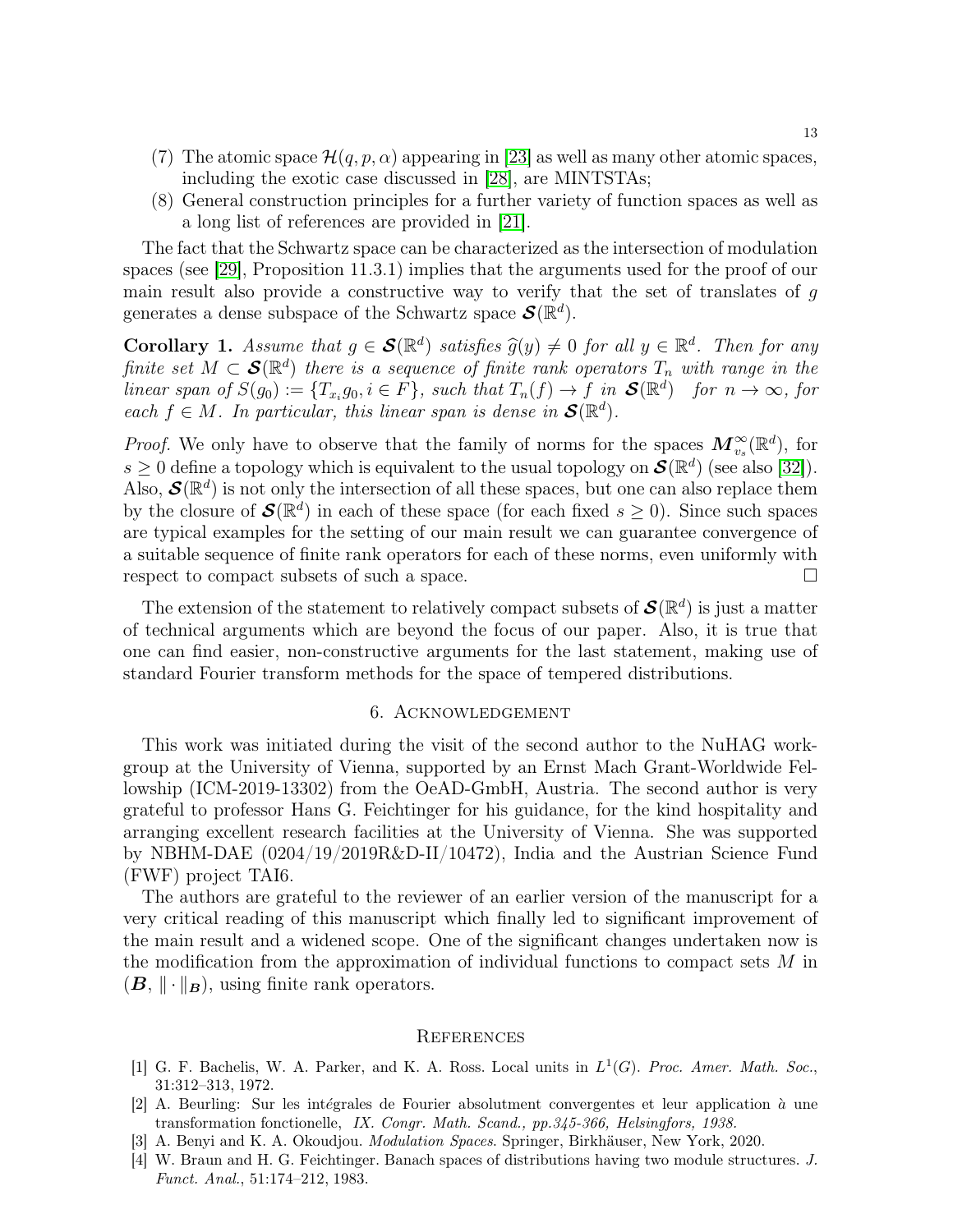- (7) The atomic space  $\mathcal{H}(q, p, \alpha)$  appearing in [\[23\]](#page-13-20) as well as many other atomic spaces, including the exotic case discussed in [\[28\]](#page-13-21), are MINTSTAs;
- (8) General construction principles for a further variety of function spaces as well as a long list of references are provided in [\[21\]](#page-13-22).

The fact that the Schwartz space can be characterized as the intersection of modulation spaces (see [\[29\]](#page-13-23), Proposition 11.3.1) implies that the arguments used for the proof of our main result also provide a constructive way to verify that the set of translates of  $q$ generates a dense subspace of the Schwartz space  $\mathcal{S}(\mathbb{R}^d)$ .

**Corollary 1.** *Assume that*  $g \in \mathcal{S}(\mathbb{R}^d)$  *satisfies*  $\widehat{g}(y) \neq 0$  *for all*  $y \in \mathbb{R}^d$ . Then for any *finite set*  $M \subset \mathcal{S}(\mathbb{R}^d)$  *there is a sequence of finite rank operators*  $T_n$  *with range in the*  $\text{linear span of } S(g_0) := \{T_{x_i}g_0, i \in F\}, \text{ such that } T_n(f) \to f \text{ in } \mathcal{S}(\mathbb{R}^d) \text{ for } n \to \infty, \text{ for } n \to \infty.$ *each*  $f \in M$ *. In particular, this linear span is dense in*  $\mathcal{S}(\mathbb{R}^d)$ *.* 

*Proof.* We only have to observe that the family of norms for the spaces  $M_{v_s}^{\infty}(\mathbb{R}^d)$ , for  $s \geq 0$  define a topology which is equivalent to the usual topology on  $\mathcal{S}(\mathbb{R}^d)$  (see also [\[32\]](#page-14-14)). Also,  $\mathcal{S}(\mathbb{R}^d)$  is not only the intersection of all these spaces, but one can also replace them by the closure of  $\mathcal{S}(\mathbb{R}^d)$  in each of these space (for each fixed  $s \geq 0$ ). Since such spaces are typical examples for the setting of our main result we can guarantee convergence of a suitable sequence of finite rank operators for each of these norms, even uniformly with respect to compact subsets of such a space.  $\Box$ 

The extension of the statement to relatively compact subsets of  $\mathcal{S}(\mathbb{R}^d)$  is just a matter of technical arguments which are beyond the focus of our paper. Also, it is true that one can find easier, non-constructive arguments for the last statement, making use of standard Fourier transform methods for the space of tempered distributions.

### 6. Acknowledgement

This work was initiated during the visit of the second author to the NuHAG workgroup at the University of Vienna, supported by an Ernst Mach Grant-Worldwide Fellowship (ICM-2019-13302) from the OeAD-GmbH, Austria. The second author is very grateful to professor Hans G. Feichtinger for his guidance, for the kind hospitality and arranging excellent research facilities at the University of Vienna. She was supported by NBHM-DAE (0204/19/2019R&D-II/10472), India and the Austrian Science Fund (FWF) project TAI6.

The authors are grateful to the reviewer of an earlier version of the manuscript for a very critical reading of this manuscript which finally led to significant improvement of the main result and a widened scope. One of the significant changes undertaken now is the modification from the approximation of individual functions to compact sets M in  $(\mathbf{B}, \|\cdot\|_{\mathbf{B}})$ , using finite rank operators.

#### **REFERENCES**

- <span id="page-12-2"></span>[1] G. F. Bachelis, W. A. Parker, and K. A. Ross. Local units in  $L^1(G)$ . Proc. Amer. Math. Soc., 31:312–313, 1972.
- <span id="page-12-1"></span>[2] A. Beurling: Sur les intégrales de Fourier absolutment convergentes et leur application  $\alpha$  une transformation fonctionelle, IX. Congr. Math. Scand., pp.345-366, Helsingfors, 1938.
- <span id="page-12-3"></span><span id="page-12-0"></span>[3] A. Benyi and K. A. Okoudjou. Modulation Spaces. Springer, Birkhäuser, New York, 2020.
- [4] W. Braun and H. G. Feichtinger. Banach spaces of distributions having two module structures. J. Funct. Anal., 51:174–212, 1983.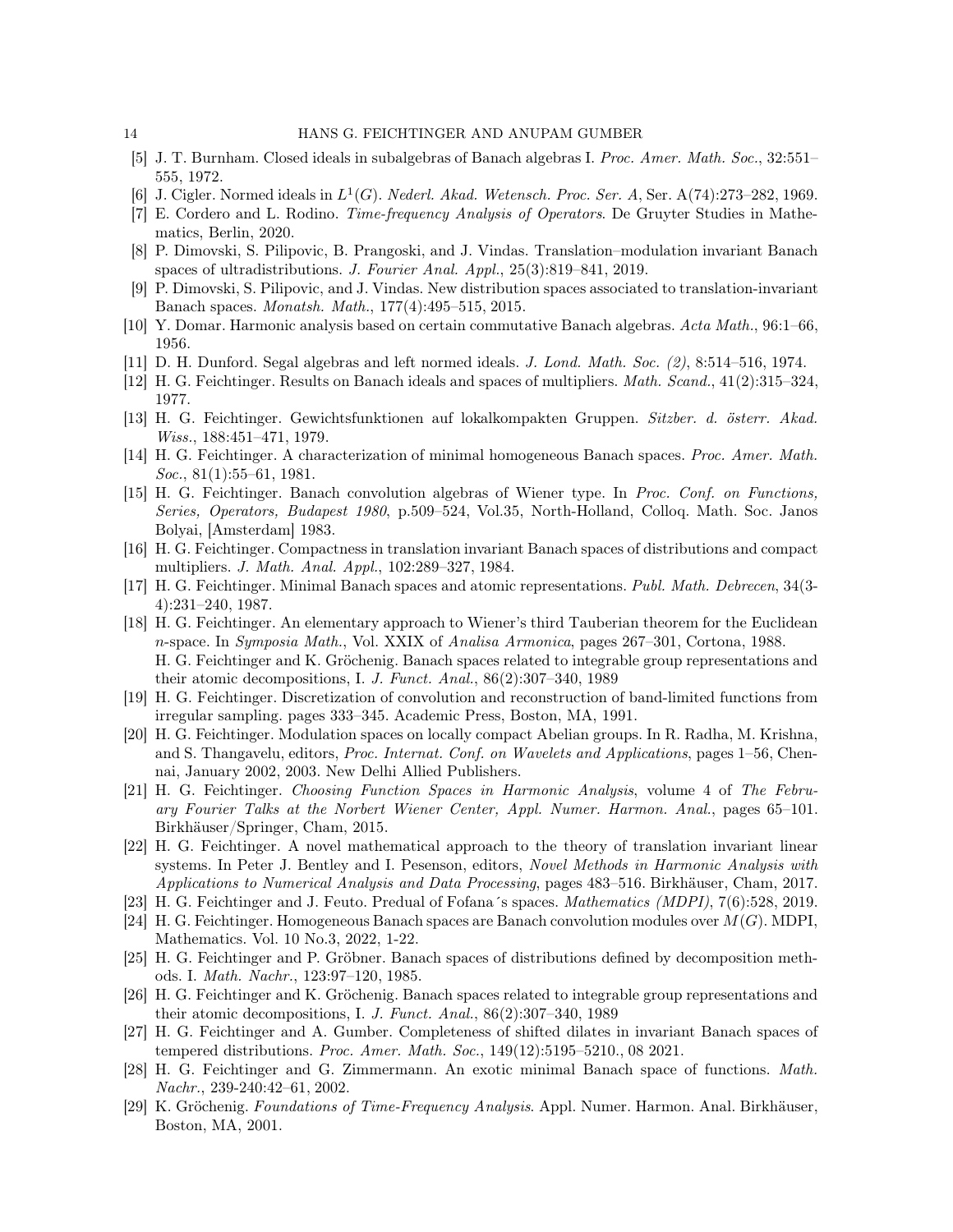- <span id="page-13-7"></span><span id="page-13-5"></span>[5] J. T. Burnham. Closed ideals in subalgebras of Banach algebras I. Proc. Amer. Math. Soc., 32:551– 555, 1972.
- <span id="page-13-18"></span>[6] J. Cigler. Normed ideals in  $L^1(G)$ . Nederl. Akad. Wetensch. Proc. Ser. A, Ser. A(74):273-282, 1969.
- <span id="page-13-4"></span>[7] E. Cordero and L. Rodino. Time-frequency Analysis of Operators. De Gruyter Studies in Mathematics, Berlin, 2020.
- <span id="page-13-1"></span>[8] P. Dimovski, S. Pilipovic, B. Prangoski, and J. Vindas. Translation–modulation invariant Banach spaces of ultradistributions. J. Fourier Anal.  $Appl., 25(3):819-841, 2019.$
- [9] P. Dimovski, S. Pilipovic, and J. Vindas. New distribution spaces associated to translation-invariant Banach spaces. Monatsh. Math., 177(4):495–515, 2015.
- <span id="page-13-11"></span><span id="page-13-6"></span>[10] Y. Domar. Harmonic analysis based on certain commutative Banach algebras. Acta Math., 96:1–66, 1956.
- <span id="page-13-8"></span>[11] D. H. Dunford. Segal algebras and left normed ideals. J. Lond. Math. Soc. (2), 8:514–516, 1974.
- <span id="page-13-16"></span>[12] H. G. Feichtinger. Results on Banach ideals and spaces of multipliers. Math. Scand., 41(2):315–324, 1977.
- [13] H. G. Feichtinger. Gewichtsfunktionen auf lokalkompakten Gruppen. Sitzber. d. österr. Akad. Wiss., 188:451–471, 1979.
- <span id="page-13-14"></span><span id="page-13-9"></span>[14] H. G. Feichtinger. A characterization of minimal homogeneous Banach spaces. Proc. Amer. Math.  $Soc., 81(1):55-61, 1981.$
- [15] H. G. Feichtinger. Banach convolution algebras of Wiener type. In Proc. Conf. on Functions, Series, Operators, Budapest 1980, p.509–524, Vol.35, North-Holland, Colloq. Math. Soc. Janos Bolyai, [Amsterdam] 1983.
- <span id="page-13-10"></span><span id="page-13-2"></span>[16] H. G. Feichtinger. Compactness in translation invariant Banach spaces of distributions and compact multipliers. J. Math. Anal. Appl., 102:289–327, 1984.
- [17] H. G. Feichtinger. Minimal Banach spaces and atomic representations. Publ. Math. Debrecen, 34(3- 4):231–240, 1987.
- <span id="page-13-3"></span>[18] H. G. Feichtinger. An elementary approach to Wiener's third Tauberian theorem for the Euclidean n-space. In Symposia Math., Vol. XXIX of Analisa Armonica, pages 267–301, Cortona, 1988. H. G. Feichtinger and K. Gröchenig. Banach spaces related to integrable group representations and their atomic decompositions, I. J. Funct. Anal., 86(2):307–340, 1989
- <span id="page-13-13"></span>[19] H. G. Feichtinger. Discretization of convolution and reconstruction of band-limited functions from irregular sampling. pages 333–345. Academic Press, Boston, MA, 1991.
- <span id="page-13-17"></span>[20] H. G. Feichtinger. Modulation spaces on locally compact Abelian groups. In R. Radha, M. Krishna, and S. Thangavelu, editors, Proc. Internat. Conf. on Wavelets and Applications, pages 1–56, Chennai, January 2002, 2003. New Delhi Allied Publishers.
- <span id="page-13-22"></span>[21] H. G. Feichtinger. Choosing Function Spaces in Harmonic Analysis, volume 4 of The February Fourier Talks at the Norbert Wiener Center, Appl. Numer. Harmon. Anal., pages 65–101. Birkhäuser/Springer, Cham, 2015.
- <span id="page-13-12"></span>[22] H. G. Feichtinger. A novel mathematical approach to the theory of translation invariant linear systems. In Peter J. Bentley and I. Pesenson, editors, Novel Methods in Harmonic Analysis with Applications to Numerical Analysis and Data Processing, pages 483–516. Birkhäuser, Cham, 2017.
- <span id="page-13-20"></span>[23] H. G. Feichtinger and J. Feuto. Predual of Fofana´s spaces. Mathematics (MDPI), 7(6):528, 2019.
- [24] H. G. Feichtinger. Homogeneous Banach spaces are Banach convolution modules over  $M(G)$ . MDPI, Mathematics. Vol. 10 No.3, 2022, 1-22.
- <span id="page-13-19"></span>[25] H. G. Feichtinger and P. Gröbner. Banach spaces of distributions defined by decomposition methods. I. Math. Nachr., 123:97–120, 1985.
- <span id="page-13-15"></span>[26] H. G. Feichtinger and K. Gröchenig. Banach spaces related to integrable group representations and their atomic decompositions, I. J. Funct. Anal.,  $86(2):307-340$ , 1989
- <span id="page-13-0"></span>[27] H. G. Feichtinger and A. Gumber. Completeness of shifted dilates in invariant Banach spaces of tempered distributions. Proc. Amer. Math. Soc.,  $149(12):5195-5210$ ., 08 2021.
- <span id="page-13-21"></span>[28] H. G. Feichtinger and G. Zimmermann. An exotic minimal Banach space of functions. Math. Nachr., 239-240:42–61, 2002.
- <span id="page-13-23"></span>[29] K. Gröchenig. Foundations of Time-Frequency Analysis. Appl. Numer. Harmon. Anal. Birkhäuser, Boston, MA, 2001.